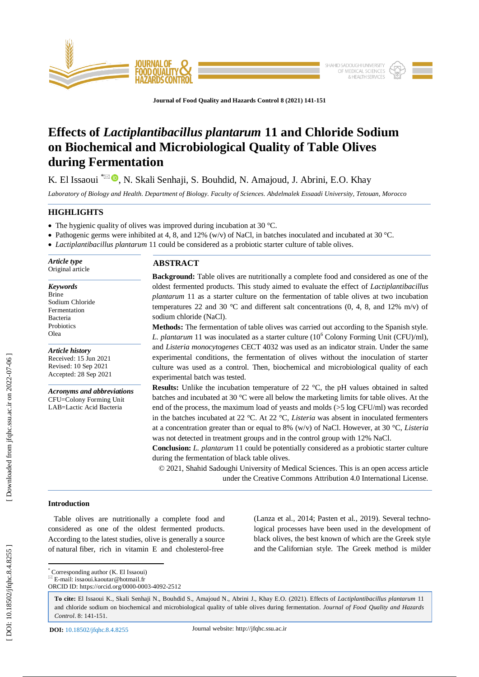

**Journal of Food Quality and Hazards Control 8 (2021) 141 - 151**

# **Effects of** *Lactiplantibacillus plantarum* **11 and Chloride Sodium on Biochemical and Microbiological Quality of Table Olives during Fermentation**

K. El Issaoui <sup>\*⊠ ®</sup>, N. Skali Senhaji, S. Bouhdid, N. Amajoud, J. Abrini, E.O. Khay

*Laboratory of Biology and Health. Department of Biology. Faculty of Sciences. Abdelmalek Essaadi University, Tetouan, Morocco*

# **HIGHLIGHTS**

- The hygienic quality of olives was improved during incubation at 30 °C.
- Pathogenic germs were inhibited at 4, 8, and 12% (w/v) of NaCl, in batches inoculated and incubated at 30 °C.
- *Lactiplantibacillus plantarum* 11 could be considered as a probiotic starter culture of table olives.

*Article type* Original article

## *Keywords*

Brine Sodium Chloride Fermentation Bacteria **Probiotics** Olea

*Article history* Received: 15 Jun 2021 Revised: 10 Sep 2021 Accepted: 28 Sep 2021

*Acronyms and abbreviations* CFU=Colony Forming Unit LAB=Lactic Acid Bacteria

# **ABSTRACT**

**Background:** Table olives are nutritionally a complete food and considered as one of the oldest fermented products. This study aimed to evaluate the effect of *Lactiplantibacillus plantarum* 11 as a starter culture on the fermentation of table olives at two incubation temperatures 22 and 30  $^{\circ}$ C and different salt concentrations (0, 4, 8, and 12% m/v) of sodium chloride (NaCl) .

**Methods:** The fermentation of table olives was carried out according to the Spanish style. *L. plantarum* 11 was inoculated as a starter culture (10 <sup>6</sup> Colony Forming Unit (CFU)/ml), and *Listeria monocytogenes* CECT 4032 was used as an indicator strain. Under the same experimental conditions, the fermentation of olives without the inoculation of starter culture was used as a control. Then, biochemical and microbiological quality of each experimental batch was tested.

**Results:** Unlike the incubation temperature of 22 °C, the pH values obtained in salted batches and incubated at 30 °C were all below the marketing limits for table olives. At the end of the process, the maximum load of yeasts and molds (>5 log CFU/ml) was recorded in the batches incubated at 22 °C. At 22 °C, *Listeria* was absent in inoculated fermenters at a concentration greater than or equal to 8% (w/v) of NaCl. However, at 30 °C, *Listeria* was not detected in treatment groups and in the control group with 12% NaCl.

**Conclusion:** *L. plantarum* 11 could be potentially considered as a probiotic starter culture during the fermentation of black table olives.

© 20 2 1, Shahid Sadoughi University of Medical Sciences. This is an open access article under the Creative Commons Attribution 4.0 International License.

# **Introduction**

 Table olives are nutritionally a complete food and considered as one of the oldest fermented products. According to the latest studies, olive is generally a source of natural fiber, rich in vitamin E and cholesterol -free (Lanza et al*.,* 2014; Pasten et al*.,* 2019). Several technological processes have been used in the development of black olives, the best known of which are the Greek style and the Californian style. The Greek method is milder

\* Corresponding author (K. El Issaoui)

 $E = \text{mail: }$  issaoui.kaoutar@hotmail.fr ORCID ID: https://orcid.org/0000 -0003 -4092 -2512

**To cite:** El Issaoui K., Skali Senhaji N., Bouhdid S., Amajoud N., Abrini J., Khay E.O. (2021). Effects of *Lactiplantibacillus plantarum* 11 and chloride sodium on biochemical and microbiological quality of table olives during fermentation. *Journal of Food Quality and Hazards*  Control. 8: 141-151.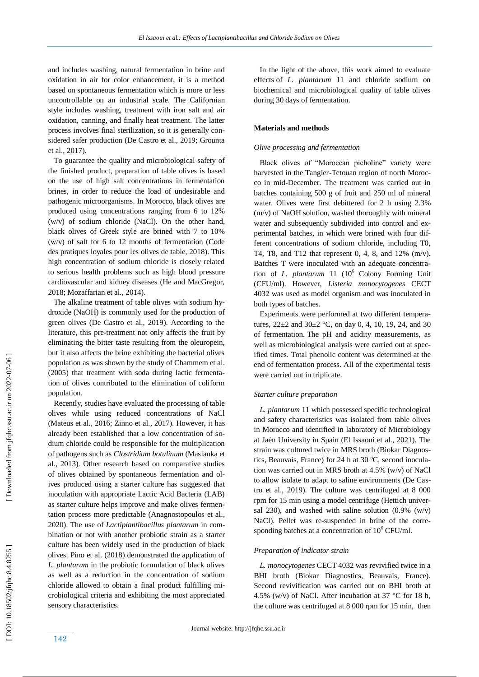and includes washing, natural fermentation in brine and oxidation in air for color enhancement, it is a method based on spontaneous fermentation which is more or less uncontrollable on an industrial scale. The Californian style includes washing, treatment with iron salt and air oxidation, canning, and finally heat treatment. The latter process involves final sterilization, so it is generally considered safer production (De Castro et al., 2019; Grounta et al., 2017).

 To guarantee the quality and microbiological safety of the finished product, preparation of table olives is based on the use of high salt concentrations in fermentation brines, in order to reduce the load of undesirable and pathogenic microorganisms. In Morocco, black olives are produced using concentrations ranging from 6 to 12% (w/v) of sodium chloride (NaCl). On the other hand, black olives of Greek style are brined with 7 to 10% (w/v) of salt for 6 to 12 months of fermentation (Code des pratiques loyales pour les olives de table, 2018). This high concentration of sodium chloride is closely related to serious health problems such as high blood pressure cardiovascular and kidney diseases (He and MacGregor, 2018; Mozaffarian et al*.,* 2014).

 The alkaline treatment of table olives with sodium hydroxide (NaOH) is commonly used for the production of green olives (De Castro et al., 2019). According to the literature, this pre -treatment not only affects the fruit by eliminating the bitter taste resulting from the oleuropein, but it also affects the brine exhibiting the bacterial olives population as was shown by the study of Chammem et al. (2005) that treatment with soda during lactic fermentation of olives contributed to the elimination of coliform population.

 Recently, studies have evaluated the processing of table olives while using reduced concentrations of NaCl (Mateus et al*.,* 2016; Zinno et al*.,* 2017). However, it has already been established that a low concentration of sodium chloride could be responsible for the multiplication of pathogens such as *Clostridium botulinum* (Maslanka et al., 2013). Other research based on comparative studies of olives obtained by spontaneous fermentation and olives produced using a starter culture has suggested that inoculation with appropriate Lactic Acid Bacteria (LAB) as starter culture helps improve and make olives fermentation process more predictable (Anagnostopoulos et al*.,*  2020). The use of *Lactiplantibacillus plantarum* in combination or not with another probiotic strain as a starter culture has been widely used in the production of black olives. Pino et al. (2018) demonstrated the application of *L. plantarum* in the probiotic formulation of black olives as well as a reduction in the concentration of sodium chloride allowed to obtain a final product fulfilling microbiological criteria and exhibiting the most appreciated sensory characteristics.

 In the light of the above, this work aimed to evaluate effects of *L. plantarum* 11 and chloride sodium on biochemical and microbiological quality of table olives during 30 days of fermentation.

## **Materials and methods**

#### *Olive processing and fermentation*

 Black olives of "Moroccan picholine" variety were harvested in the Tangier -Tetouan region of north Morocco in mid-December. The treatment was carried out in batches containing 500 g of fruit and 250 ml of mineral water. Olives were first debittered for 2 h using 2.3% (m/v) of NaOH solution, washed thoroughly with mineral water and subsequently subdivided into control and experimental batches, in which were brined with four different concentrations of sodium chloride, including T0, T4, T8, and T12 that represent 0, 4, 8, and 12% (m/v). Batches T were inoculated with an adequate concentration of *L. plantarum* 11 (10<sup>6</sup> Colony Forming Unit (CFU/ml). However, *Listeria monocytogenes* CECT 4032 was used as model organism and was inoculated in both types of batches.

 Experiments were performed at two different temperatures,  $22\pm2$  and  $30\pm2$  °C, on day 0, 4, 10, 19, 24, and 30 of fermentation. The pH and acidity measurements, as well as microbiological analysis were carried out at specified times. Total phenolic content was determined at the end of fermentation process. All of the experimental tests were carried out in triplicate.

### *Starter culture preparation*

 *L. plantarum* 11 which possessed specific technological and safety characteristics was isolated from table olives in Morocco and identified in laboratory of Microbiology at Jaèn University in Spain (El Issaoui et al., 2021). The strain was cultured twice in MRS broth (Biokar Diagnostics, Beauvais, France) for 24 h at 30 ºC, second inoculation was carried out in MRS broth at 4.5% (w/v) of NaCl to allow isolate to adapt to saline environments (De Castro et al., 2019). The culture was centrifuged at 8 000 rpm for 15 min using a model centrifuge (Hettich universal 230), and washed with saline solution  $(0.9\% (w/v))$ NaCl). Pellet was re -suspended in brine of the corresponding batches at a concentration of  $10^6$  CFU/ml.

## *Preparation of indicator strain*

 *L. monocytogenes* CECT 4032 was revivified twice in a BHI broth (Biokar Diagnostics, Beauvais, France). Second revivification was carried out on BHI broth at 4.5% (w/v) of NaCl. After incubation at 37 °C for 18 h, the culture was centrifuged at 8 000 rpm for 15 min, then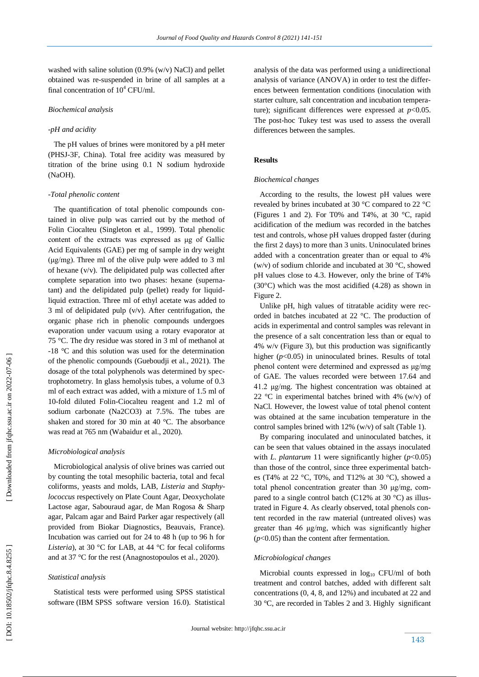washed with saline solution (0.9% (w/v) NaCl) and pellet obtained was re -suspended in brine of all samples at a final concentration of  $10^4$  CFU/ml.

#### *Biochemical analysis*

### *-pH and acidity*

 The pH values of brines were monitored by a pH meter (PHSJ -3F, China). Total free acidity was measured by titration of the brine using 0.1 N sodium hydroxide (NaOH).

#### *-Total phenolic content*

 The quantification of total phenolic compounds contained in olive pulp was carried out by the method of Folin Ciocalteu (Singleton et al., 1999). Total phenolic content of the extracts was expressed as μg of Gallic Acid Equivalents (GAE) per mg of sample in dry weight (μg/mg). Three ml of the olive pulp were added to 3 ml of hexane (v/v). The delipidated pulp was collected after complete separation into two phases: hexane (supernatant) and the delipidated pulp (pellet) ready for liquidliquid extraction. Three ml of ethyl acetate was added to 3 ml of delipidated pulp (v/v). After centrifugation, the organic phase rich in phenolic compounds undergoes evaporation under vacuum using a rotary evaporator at 75 °C. The dry residue was stored in 3 ml of methanol at -18 °C and this solution was used for the determination of the phenolic compounds (Gueboudji et al., 2021). The dosage of the total polyphenols was determined by spectrophotometry. In glass hemolysis tubes, a volume of 0.3 ml of each extract was added, with a mixture of 1.5 ml of 10 -fold diluted Folin -Ciocalteu reagent and 1.2 ml of sodium carbonate (Na2CO3) at 7.5%. The tubes are shaken and stored for 30 min at 40 °C. The absorbance was read at 765 nm (Wabaidur et al., 2020).

#### *Microbiological analysis*

 Microbiological analysis of olive brines was carried out by counting the total mesophilic bacteria, total and fecal coliforms, yeasts and molds, LAB, *Listeria* and *Staphylococcus* respectively on Plate Count Agar, Deoxycholate Lactose agar, Sabouraud agar, de Man Rogosa & Sharp agar, Palcam agar and Baird Parker agar respectively (all provided from Biokar Diagnostics, Beauvais, France). Incubation was carried out for 24 to 48 h (up to 96 h for *Listeria*), at 30 °C for LAB, at 44 °C for fecal coliforms and at 37 °C for the rest (Anagnostopoulos et al*.,* 2020).

#### *Statistical analysis*

 Statistical tests were performed using SPSS statistical software (IBM SPSS software version 16.0). Statistical analysis of the data was performed using a unidirectional analysis of variance (ANOVA) in order to test the differences between fermentation conditions (inoculation with starter culture, salt concentration and incubation temperature); significant differences were expressed at  $p<0.05$ . The post -hoc Tukey test was used to assess the overall differences between the samples.

## **Results**

#### *Biochemical changes*

 According to the results, the lowest pH values were revealed by brines incubated at 30 °C compared to 22 °C (Figures 1 and 2). For T0% and T4%, at 30 °C, rapid acidification of the medium was recorded in the batches test and controls, whose pH values dropped faster (during the first 2 days) to more than 3 units. Uninoculated brines added with a concentration greater than or equal to 4% (w/v) of sodium chloride and incubated at 30 °C, showed pH values close to 4.3. However, only the brine of T4% (30°C) which was the most acidified (4.28) as shown in Figure 2.

 Unlike pH, high values of titratable acidity were recorded in batches incubated at 22 °C. The production of acids in experimental and control samples was relevant in the presence of a salt concentration less than or equal to 4% w/v (Figure 3), but this production was significantly higher  $(p<0.05)$  in uninoculated brines. Results of total phenol content were determined and expressed as μg/mg of GAE. The values recorded were between 17.64 and 41.2 μg/mg. The highest concentration was obtained at 22 °C in experimental batches brined with 4% (w/v) of NaCl. However, the lowest value of total phenol content was obtained at the same incubation temperature in the control samples brined with 12% (w/v) of salt (Table 1).

 By comparing inoculated and uninoculated batches, it can be seen that values obtained in the assays inoculated with *L. plantarum* 11 were significantly higher (*p*<0.05) than those of the control, since three experimental batches (T4% at 22 °C, T0%, and T12% at 30 °C), showed a total phenol concentration greater than 30 μg/mg, compared to a single control batch (C12% at 30  $^{\circ}$ C) as illustrated in Figure 4. As clearly observed, total phenols content recorded in the raw material (untreated olives) was greater than 46 μg/mg, which was significantly higher (*p*<0.05) than the content after fermentation.

### *Microbiological changes*

Microbial counts expressed in  $log_{10}$  CFU/ml of both treatment and control batches, added with different salt concentrations (0, 4, 8, and 12%) and incubated at 22 and 30 °C, are recorded in Tables 2 and 3. Highly significan t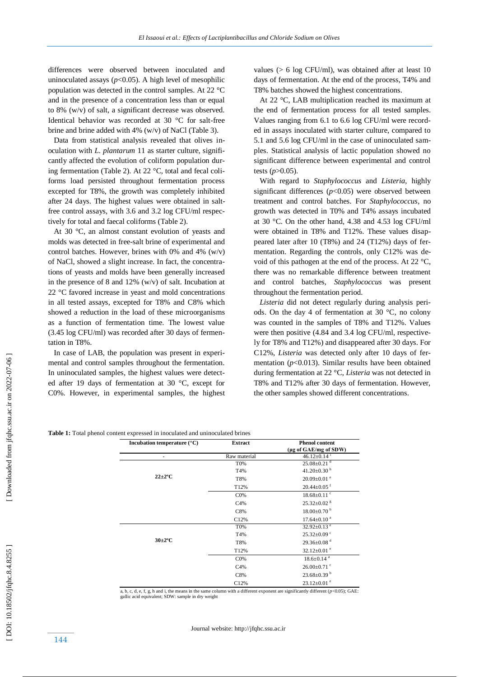differences were observed between inoculated and uninoculated assays  $(p<0.05)$ . A high level of mesophilic population was detected in the control samples. At 22 °C and in the presence of a concentration less than or equal to 8% (w/v) of salt, a significant decrease was observed. Identical behavior was recorded at 30 °C for salt -free brine and brine added with 4% (w/v) of NaCl (Table 3).

 Data from statistical analysis revealed that olives inoculation with *L. plantarum* 11 as starter culture, significantly affected the evolution of coliform population during fermentation (Table 2). At 22 °C, total and fecal coliforms load persisted throughout fermentation process excepted for T8%, the growth was completely inhibited after 24 days. The highest values were obtained in salt free control assays, with 3.6 and 3.2 log CFU/ml respectively for total and faecal coliforms (Table 2).

 At 30 °C, an almost constant evolution of yeasts and molds was detected in free -salt brine of experimental and control batches. However, brines with 0% and 4% (w/v) of NaCl, showed a slight increase. In fact, the concentrations of yeasts and molds have been generally increased in the presence of 8 and 12% (w/v) of salt. Incubation at 22 °C favored increase in yeast and mold concentrations in all tested assays, excepted for T8% and C8% which showed a reduction in the load of these microorganisms as a function of fermentation time. The lowest value (3.45 log CFU/ml) was recorded after 30 days of fermentation in T8%.

 In case of LAB, the population was present in experimental and control samples throughout the fermentation. In uninoculated samples, the highest values were detected after 19 days of fermentation at 30 °C, except for C0%. However, in experimental samples, the highest values (> 6 log CFU/ml), was obtained after at least 10 days of fermentation. At the end of the process, T4% and T8% batches showed the highest concentrations.

 At 22 °C, LAB multiplication reached its maximum at the end of fermentation process for all tested samples. Values ranging from 6.1 to 6.6 log CFU/ml were recorded in assays inoculated with starter culture, compared to 5.1 and 5.6 log CFU/ml in the case of uninoculated samples. Statistical analysis of lactic population showed no significant difference between experimental and control tests  $(p>0.05)$ .

 With regard to *Staphylococcus* and *Listeria*, highly significant differences (*p*<0.05) were observed between treatment and control batches. For *Staphylococcus*, no growth was detected in T0% and T4% assays incubated at 30 °C. On the other hand, 4.38 and 4.53 log CFU/ml were obtained in T8% and T12%. These values disappeared later after 10 (T8%) and 24 (T12%) days of fermentation. Regarding the controls, only C12% was devoid of this pathogen at the end of the process. At 22 °C, there was no remarkable difference between treatment and control batches, *Staphylococcus* was present throughout the fermentation period.

 *Listeria* did not detect regularly during analysis periods. On the day 4 of fermentation at 30 °C, no colony was counted in the samples of T8% and T12%. Values were then positive (4.84 and 3.4 log CFU/ml, respectively for T8% and T12%) and disappeared after 30 days. For C12%, *Listeria* was detected only after 10 days of fermentation  $(p<0.013)$ . Similar results have been obtained during fermentation at 22 °C, *Listeria* was not detected in T8% and T12% after 30 days of fermentation. However, the other samples showed different concentrations.

| <b>Table 1:</b> Total phenol content expressed in inoculated and uninoculated brines |  |  |
|--------------------------------------------------------------------------------------|--|--|
|--------------------------------------------------------------------------------------|--|--|

| Incubation temperature $(^{\circ}C)$ | <b>Extract</b> | <b>Phenol content</b><br>(µg of GAE/mg of SDW) |
|--------------------------------------|----------------|------------------------------------------------|
| ٠                                    | Raw material   | $46.12 \pm 0.14$ <sup>i</sup>                  |
| $22 \pm 2$ °C                        | T0%            | $25.08 \pm 0.21$ <sup>d</sup>                  |
|                                      | T4%            | $41.20 \pm 0.30$ <sup>h</sup>                  |
|                                      | T8%            | $20.09 \pm 0.01$ e                             |
|                                      | T12%           | $20.44 \pm 0.05$ <sup>f</sup>                  |
|                                      | CO%            | $18.68 \pm 0.11$ <sup>c</sup>                  |
|                                      | C4%            | $25.32 \pm 0.02$ <sup>g</sup>                  |
|                                      | C8%            | $18.00\pm0.70^{b}$                             |
|                                      | C12%           | $17.64 \pm 0.10^{\text{a}}$                    |
| $30\pm2$ °C                          | T0%            | 32.92 $\pm$ 0.13 $^{\circ}$                    |
|                                      | T4%            | $25.32 \pm 0.09$ °                             |
|                                      | T8%            | $29.36 \pm 0.08$ <sup>d</sup>                  |
|                                      | T12%           | 32.12 $\pm$ 0.01 $\degree$                     |
|                                      | CO%            | $18.6 \pm 0.14$ <sup>a</sup>                   |
|                                      | C4%            | $26.00 \pm 0.71$ °                             |
|                                      | C8%            | $23.68 \pm 0.39$ <sup>b</sup>                  |
|                                      | C12%           | $23.12 \pm 0.01$ <sup>e</sup>                  |

a, b, c, d, e, f, g, h and i, the means in the same column with a different exponent are significantly different (*p*<0.05); GAE: gallic acid equivalent; SDW: sample in dry weight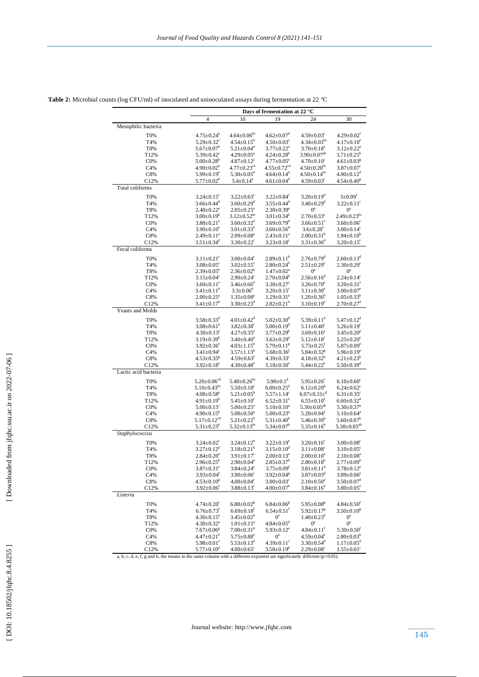|                      | Days of fermentation at 22 °C  |                               |                               |                                |                               |
|----------------------|--------------------------------|-------------------------------|-------------------------------|--------------------------------|-------------------------------|
|                      | 4                              | 10                            | 19                            | 24                             | 30                            |
| Mesophilic bacteria  |                                |                               |                               |                                |                               |
| T0%                  | $4.75 \pm 0.24$ <sup>a</sup>   | $4.64 \pm 0.06$ <sup>bc</sup> | $4.62 \pm 0.07$ <sup>d</sup>  | $4.59 \pm 0.03$ <sup>c</sup>   | $4.29 \pm 0.02$ <sup>t</sup>  |
| T4%                  | $5.29 \pm 0.32$ <sup>c</sup>   | $4.54 \pm 0.15^b$             | $4.50 \pm 0.03$ <sup>c</sup>  | $4.34 \pm 0.03$ <sup>bc</sup>  | $4.17 \pm 0.10^e$             |
| T8%                  | $5.67 \pm 0.07$ <sup>d</sup>   | $5.21 \pm 0.04$ <sup>d</sup>  | $3.77 \pm 0.22^a$             | $3.70 \pm 0.18^a$              | $3.12 \pm 0.22^a$             |
| T12%                 | $5.39 \pm 0.42$ <sup>c</sup>   | $4.29 \pm 0.05^{\text{a}}$    | $4.24 \pm 0.28^b$             | $3.90 \pm 0.07$ <sup>ab</sup>  | $3.71 \pm 0.25^b$             |
| CO%                  | $5.00 \pm 0.28^b$              | $4.87 \pm 0.12$ <sup>c</sup>  | $4.77 \pm 0.05^e$             | $4.70 \pm 0.10^c$              | $4.61 \pm 0.03$ <sup>g</sup>  |
| C4%                  | $4.90 \pm 0.02^b$              | $4.77 \pm 0.23$ <sup>ce</sup> | $4.55 \pm 0.72$ <sup>cd</sup> | $4.50 \pm 0.20$ <sup>bc</sup>  | $3.87 \pm 0.07$ <sup>c</sup>  |
| C8%                  | $5.99 \pm 0.19^e$              | $5.30 \pm 0.05$ <sup>d</sup>  | $4.64 \pm 0.14$ <sup>d</sup>  | $4.50 \pm 0.14$ <sup>bc</sup>  | $4.00 \pm 0.12$ <sup>d</sup>  |
| C12%                 | $5.77 \pm 0.02^{\rm d}$        | $5.4 \pm 0.14^e$              | $4.61 \pm 0.04$ <sup>d</sup>  | $4.59 \pm 0.03$ <sup>c</sup>   | $4.54 \pm 0.40^8$             |
| Total coliforms      |                                |                               |                               |                                |                               |
| <b>T0%</b>           | $3.24 \pm 0.15$ <sup>c</sup>   | $3.22 \pm 0.63^c$             | $3.22 \pm 0.84$ <sup>c</sup>  | $3.20 \pm 0.19$ <sup>d</sup>   | $3 \pm 0.09^{\circ}$          |
| T4%                  | $3.66 \pm 0.44$ <sup>d</sup>   | $3.60 \pm 0.29$ <sup>d</sup>  | $3.55 \pm 0.44$ <sup>d</sup>  | $3.40 \pm 0.29$ <sup>d</sup>   | $3.22 \pm 0.11$ <sup>c</sup>  |
| T8%                  | $2.40 \pm 0.22$ <sup>a</sup>   | $2.05 \pm 0.25^a$             | $2.30 \pm 0.39^a$             | $0^{\rm a}$                    | $0^a$                         |
| T12%                 | $3.00 \pm 0.19^b$              | $3.12 \pm 0.52$ <sup>bc</sup> | $3.01 \pm 0.34^b$             | $2.70 \pm 0.33$ <sup>c</sup>   | $2.49 \pm 0.23$ <sup>bc</sup> |
| CO%                  | $3.88 \pm 0.21^e$              | $3.60 \pm 0.32$ <sup>d</sup>  | $3.69 \pm 0.79$ <sup>d</sup>  | $3.66 \pm 0.51$ <sup>e</sup>   | $3.60 \pm 0.06$ <sup>c</sup>  |
| C4%                  | $3.90 \pm 0.10^e$              | $3.01 \pm 0.33^b$             | $3.60 \pm 0.56$ <sup>d</sup>  | $3.6 \pm 0.28^e$               | $3.00 \pm 0.14$ °             |
| C8%                  | $2.49 \pm 0.11^a$              | $2.09 \pm 0.08^a$             | $2.43 \pm 0.11^a$             | $2.00 \pm 0.31^b$              | $1.94 \pm 0.10^b$             |
| C12%                 | $3.51 \pm 0.34$ <sup>d</sup>   | $3.30 \pm 0.22$ <sup>c</sup>  | $3.23 \pm 0.18$ <sup>c</sup>  | $3.31 \pm 0.36$ <sup>d</sup>   | $3.20 \pm 0.15$ <sup>c</sup>  |
| Fecal coliforms      |                                |                               |                               |                                |                               |
| T0%                  | $3.11 \pm 0.21$ <sup>c</sup>   | $3.00 \pm 0.04$ <sup>c</sup>  | $2.89 \pm 0.11^b$             | $2.76 \pm 0.79$ <sup>d</sup>   | $2.60 \pm 0.13$ <sup>d</sup>  |
| T4%                  | $3.08 \pm 0.05$ <sup>c</sup>   | $3.02 \pm 0.55$ <sup>c</sup>  | $2.80 \pm 0.24^b$             | $2.51 \pm 0.29$ <sup>c</sup>   | $2.30 \pm 0.29$ <sup>c</sup>  |
| T8%                  | $2.39 \pm 0.05^b$              | $2.36 \pm 0.02^b$             | $1.47 \pm 0.02^a$             | $0^a$                          | $0^a$                         |
| T12%                 | $3.15 \pm 0.04$ <sup>c</sup>   | $2.90\pm0.24$ <sup>c</sup>    | $2.70 \pm 0.04^b$             | $2.56 \pm 0.16^d$              | $2.24 \pm 0.14$ <sup>c</sup>  |
| CO%                  | $3.60 \pm 0.11$ <sup>e</sup>   | $3.46 \pm 0.66$ <sup>d</sup>  | $3.30 \pm 0.27$ <sup>c</sup>  | $3.26 \pm 0.70^e$              | $3.20 \pm 0.31^e$             |
| C4%                  | $3.41 \pm 0.11$ <sup>d</sup>   | $3.3 \pm 0.06^d$              | $3.20 \pm 0.15$ <sup>c</sup>  | $3.11 \pm 0.30^e$              | $3.00 \pm 0.07$ <sup>e</sup>  |
| C8%                  | $2.00 \pm 0.25$ <sup>a</sup>   | $1.35 \pm 0.08^a$             | $1.29 \pm 0.31$ <sup>a</sup>  | $1.20 \pm 0.36^b$              | $1.05 + 0.33^{b}$             |
| C12%                 | $3.41 \pm 0.17$ <sup>d</sup>   | $3.30 \pm 0.23$ <sup>d</sup>  | $2.82 \pm 0.21^b$             | $3.10 \pm 0.19^e$              | $2.70 \pm 0.27$ <sup>d</sup>  |
| Yeasts and Molds     |                                |                               |                               |                                |                               |
| <b>T0%</b>           | $3.58 \pm 0.33$ <sup>d</sup>   | $4.01 + 0.42^d$               | $5.02 + 0.30^d$               | $5.39 \pm 0.11$ <sup>d</sup>   | $5.47 \pm 0.12$ <sup>d</sup>  |
| T4%                  | $3.08 \pm 0.61$ <sup>a</sup>   | $3.82 \pm 0.38$ <sup>c</sup>  | $5.00 \pm 0.19$ <sup>d</sup>  | $5.11 \pm 0.40^c$              | $5.26 \pm 0.19$ <sup>c</sup>  |
| T8%                  | $4.30 \pm 0.13$ <sup>f</sup>   | $4.27 \pm 0.35^e$             | $3.77 \pm 0.29^b$             | $3.69 \pm 0.16^a$              | $3.45 \pm 0.20^a$             |
| T12%                 | $3.19 \pm 0.39^b$              | $3.40 \pm 0.40^a$             | $3.63 \pm 0.29$ <sup>a</sup>  | $5.12 \pm 0.18$ <sup>c</sup>   | $5.25 \pm 0.20$ <sup>c</sup>  |
| CO%                  | $3.92 \pm 0.36^e$              | $4.03 \pm 1.15$ <sup>d</sup>  | $5.79 \pm 0.11$ <sup>g</sup>  | $5.73 \pm 0.25$ <sup>t</sup>   | $5.87 \pm 0.09^e$             |
| C4%                  | $3.41 \pm 0.94$ <sup>c</sup>   | $3.57 \pm 1.13^b$             | $5.68 \pm 0.36$ <sup>f</sup>  | $5.84 \pm 0.32$ <sup>g</sup>   | $5.96 \pm 0.19^e$             |
| C8%                  | $4.53 \pm 0.35$ <sup>g</sup>   | $4.59 \pm 0.63$ <sup>t</sup>  | $4.39 \pm 0.33$ <sup>c</sup>  | $4.18 \pm 0.32^b$              | $4.21 \pm 0.23^b$             |
| C12%                 | $3.92 \pm 0.18^e$              | $4.30{\pm}0.48^{\rm e}$       | $5.18 \pm 0.50^e$             | $5.44 \pm 0.22$ <sup>e</sup>   | $5.50 \pm 0.39$ <sup>d</sup>  |
| Lactic acid bacteria |                                |                               |                               |                                |                               |
| <b>T0%</b>           | $5.20 \pm 0.06$ <sup>cd</sup>  | $5.40 \pm 0.26$ <sup>bc</sup> | $5.90 \pm 0.1$ <sup>d</sup>   | $5.95 \pm 0.26$ <sup>c</sup>   | $6.10 \pm 0.60$ <sup>c</sup>  |
| T4%                  | $5.10 \pm 0.43$ <sup>bc</sup>  | $5.50 \pm 0.18$ <sup>c</sup>  | $6.00 \pm 0.25$ <sup>d</sup>  | $6.12 \pm 0.20$ <sup>d</sup>   | $6.24 \pm 0.62$ <sup>c</sup>  |
| T8%                  | $4.08 \pm 0.58$ <sup>a</sup>   | $5.21 \pm 0.05^b$             | $5.57 \pm 1.14$ <sup>c</sup>  | $6.07 \pm 0.31$ c <sup>d</sup> | $6.31 \pm 0.35$ <sup>c</sup>  |
| T12%                 | $4.91 \pm 0.19^b$              | $5.45 \pm 0.10^c$             | $6.52 \pm 0.31^e$             | $6.55 \pm 0.10^e$              | $6.60 \pm 0.32$ <sup>d</sup>  |
| CO%                  | $5.00 \pm 0.15$ <sup>c</sup>   | $5.00 \pm 0.25$ <sup>a</sup>  | $5.10 \pm 0.10^a$             | $5.30 \pm 0.05^{ab}$           | $5.30 \pm 0.37$ <sup>a</sup>  |
| C4%                  | $4.90 \pm 0.15^b$              | $5.00 \pm 0.50$ <sup>a</sup>  | $5.00 \pm 0.23$ <sup>a</sup>  | $5.20 \pm 0.94$ <sup>a</sup>   | $5.10 \pm 0.64$ <sup>a</sup>  |
| C8%                  | $5.17 \pm 0.12$ <sup>cd</sup>  | $5.21 \pm 0.22^b$             | $5.31 \pm 0.40^b$             | $5.46 \pm 0.39^b$              | $5.60 \pm 0.07^b$             |
| C12%                 | $5.31 \pm 0.23$ <sup>d</sup>   | $5.32 \pm 0.13$ <sup>bc</sup> | $5.34 \pm 0.07^{\circ}$       | $5.35 \pm 0.16^b$              | $5.38 \pm 0.05^{ab}$          |
| Staphylococcus       |                                |                               |                               |                                |                               |
| <b>T0%</b>           | $3.24 \pm 0.02^c$              | $3.24 \pm 0.12^b$             | $3.22 \pm 0.19^e$             | $3.20 \pm 0.16$ °              | $3.00 \pm 0.08$ <sup>c</sup>  |
| T4%                  | $3.27 \pm 0.12^d$              | $3.18 \pm 0.21^b$             | $3.15 \pm 0.10^4$             | $3.11 \pm 0.08$ <sup>c</sup>   | $3.10 \pm 0.05$ <sup>c</sup>  |
| T8%                  | $2.84 \pm 0.20^a$              | $3.91 \pm 0.17$ <sup>c</sup>  | $2.00 \pm 0.13^a$             | $2.00 \pm 0.10^a$              | $2.10 \pm 0.08$ <sup>a</sup>  |
| T12%                 | $2.96\!\pm\!0.25^{\mathrm{b}}$ | $2.90{\pm}0.04^{\mathrm{a}}$  | $2.85 \pm 0.37^b$             | $2.80{\pm}0.18^{\mathrm{b}}$   | $2.77 \pm 0.09^b$             |
| CO%                  | $3.87 \pm 0.31$ <sup>e</sup>   | $3.84 \pm 0.24$ <sup>c</sup>  | $3.75 \pm 0.09$ <sup>f</sup>  | $3.81{\pm}0.11^{\rm d}$        | $3.78 \pm 0.12^e$             |
| C4%                  | $3.93 \pm 0.04^t$              | $3.90 \pm 0.06$ <sup>c</sup>  | $3.92 \pm 0.04$ <sup>g</sup>  | $3.87 \pm 0.03$ <sup>d</sup>   | $3.89 \pm 0.06^e$             |
| C8%                  | $4.53 \pm 0.10^8$              | $4.00 \pm 0.04$ <sup>c</sup>  | $3.00 \pm 0.03$ <sup>c</sup>  | $2.10 \pm 0.50^a$              | $3.50 \pm 0.07$ <sup>d</sup>  |
| C12%                 | $3.92 \pm 0.06$ <sup>f</sup>   | $3.88 \pm 0.13^c$             | $4.00 \pm 0.07$ <sup>h</sup>  | $3.84 \pm 0.16^d$              | $3.80 \pm 0.05^e$             |
| Listeria             |                                |                               |                               |                                |                               |
| <b>T0%</b>           | $4.74 \pm 0.20$ <sup>c</sup>   | $6.88 \pm 0.02$ <sup>g</sup>  | $6.84 \pm 0.06$ <sup>g</sup>  | $5.95 \pm 0.08$ <sup>g</sup>   | $4.84 \pm 0.50^e$             |
| T4%                  | $6.76 \pm 0.73$ <sup>t</sup>   | $6.69 \pm 0.18$ <sup>f</sup>  | $6.54 \pm 0.51$ <sup>f</sup>  | $5.92 \pm 0.17$ <sup>g</sup>   | $3.50 \pm 0.10$ <sup>g</sup>  |
| T8%                  | $4.30 \pm 0.15^a$              | $3.45 \pm 0.02^b$             | $0^a$                         | $1.40 \pm 0.23^b$              | $0^{\rm a}$                   |
| T12%                 | $4.30 \pm 0.32$ <sup>a</sup>   | $1.01 \pm 0.15^a$             | $4.84 \pm 0.05$ <sup>d</sup>  | $0^{\rm a}$                    | $0^a$                         |
| CO%                  | $7.67 \pm 0.06$ <sup>g</sup>   | $7.00 \pm 0.31$ <sup>h</sup>  | $5.93 \pm 0.12$ <sup>e</sup>  | $4.84 \pm 0.11$ <sup>t</sup>   | $5.30 \pm 0.50$ <sup>f</sup>  |
| C4%                  | $4.47 \pm 0.21^b$              | $5.75 \pm 0.88^e$             | $0^a$                         | $4.59 \pm 0.04^e$              | $2.80 \pm 0.03^b$             |
| C8%                  | $5.98 \pm 0.01^e$              | $5.53 \pm 0.13$ <sup>d</sup>  | $4.39 \pm 0.11$ <sup>c</sup>  | $3.30 \pm 0.54$ <sup>d</sup>   | $1.17 \pm 0.05^{\text{d}}$    |
| C12%                 | $5.77 \pm 0.10^{\circ}$        | $4.00 \pm 0.65$ <sup>c</sup>  | $3.58 \pm 0.19^b$             | $2.29 \pm 0.08$ <sup>c</sup>   | $1.55 \pm 0.01^c$             |

**Table 2:** Microbial counts (log CFU/ml) of inoculated and uninoculated assays during fermentation at 22 °C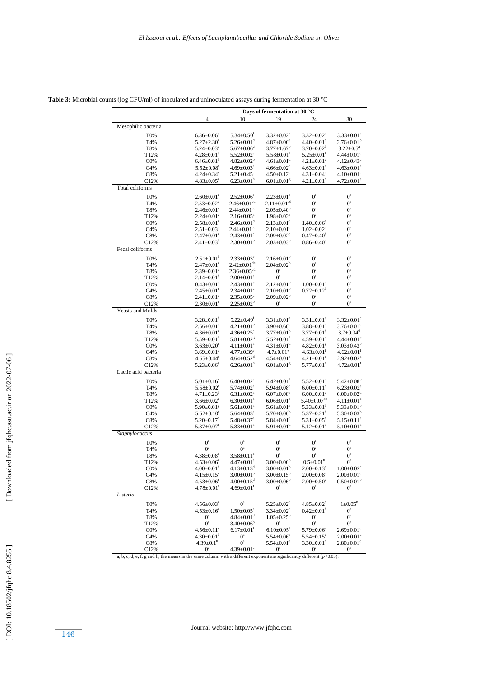| Days of fermentation at 30 °C             |                                                                                                                                                                                                                                                                                                                                                                                                                                                                                                                                                                                                                                                                                                                                                                                                                                                                                                              |                                                                                                                                                                                                                                                                                                                                                                                                                                                                                                                                                                                                                                                                                                                                                                                                                 |                                                                                                                                                                                                                                                                                                                                                                                                                                                                                                                                                                                                                                                                                                                                                                                                                             |                                                                                                                                                                                                                                                                                                                                                                                                                                                                                                                                                                                                                                                                                                                                                                                                    |  |
|-------------------------------------------|--------------------------------------------------------------------------------------------------------------------------------------------------------------------------------------------------------------------------------------------------------------------------------------------------------------------------------------------------------------------------------------------------------------------------------------------------------------------------------------------------------------------------------------------------------------------------------------------------------------------------------------------------------------------------------------------------------------------------------------------------------------------------------------------------------------------------------------------------------------------------------------------------------------|-----------------------------------------------------------------------------------------------------------------------------------------------------------------------------------------------------------------------------------------------------------------------------------------------------------------------------------------------------------------------------------------------------------------------------------------------------------------------------------------------------------------------------------------------------------------------------------------------------------------------------------------------------------------------------------------------------------------------------------------------------------------------------------------------------------------|-----------------------------------------------------------------------------------------------------------------------------------------------------------------------------------------------------------------------------------------------------------------------------------------------------------------------------------------------------------------------------------------------------------------------------------------------------------------------------------------------------------------------------------------------------------------------------------------------------------------------------------------------------------------------------------------------------------------------------------------------------------------------------------------------------------------------------|----------------------------------------------------------------------------------------------------------------------------------------------------------------------------------------------------------------------------------------------------------------------------------------------------------------------------------------------------------------------------------------------------------------------------------------------------------------------------------------------------------------------------------------------------------------------------------------------------------------------------------------------------------------------------------------------------------------------------------------------------------------------------------------------------|--|
| 4                                         | 10                                                                                                                                                                                                                                                                                                                                                                                                                                                                                                                                                                                                                                                                                                                                                                                                                                                                                                           | 19                                                                                                                                                                                                                                                                                                                                                                                                                                                                                                                                                                                                                                                                                                                                                                                                              | 24                                                                                                                                                                                                                                                                                                                                                                                                                                                                                                                                                                                                                                                                                                                                                                                                                          | 30                                                                                                                                                                                                                                                                                                                                                                                                                                                                                                                                                                                                                                                                                                                                                                                                 |  |
|                                           |                                                                                                                                                                                                                                                                                                                                                                                                                                                                                                                                                                                                                                                                                                                                                                                                                                                                                                              |                                                                                                                                                                                                                                                                                                                                                                                                                                                                                                                                                                                                                                                                                                                                                                                                                 |                                                                                                                                                                                                                                                                                                                                                                                                                                                                                                                                                                                                                                                                                                                                                                                                                             |                                                                                                                                                                                                                                                                                                                                                                                                                                                                                                                                                                                                                                                                                                                                                                                                    |  |
| $6.36 \pm 0.06$ <sup>g</sup>              | $5.34 \pm 0.50$ <sup>f</sup>                                                                                                                                                                                                                                                                                                                                                                                                                                                                                                                                                                                                                                                                                                                                                                                                                                                                                 | $3.32 \pm 0.02^a$                                                                                                                                                                                                                                                                                                                                                                                                                                                                                                                                                                                                                                                                                                                                                                                               | $3.32 \pm 0.02^a$                                                                                                                                                                                                                                                                                                                                                                                                                                                                                                                                                                                                                                                                                                                                                                                                           | $3.33 \pm 0.01^a$                                                                                                                                                                                                                                                                                                                                                                                                                                                                                                                                                                                                                                                                                                                                                                                  |  |
| $5.27 \pm 2.30^e$                         | $5.26 \pm 0.01$ <sup>d</sup>                                                                                                                                                                                                                                                                                                                                                                                                                                                                                                                                                                                                                                                                                                                                                                                                                                                                                 | $4.87 \pm 0.06^e$                                                                                                                                                                                                                                                                                                                                                                                                                                                                                                                                                                                                                                                                                                                                                                                               |                                                                                                                                                                                                                                                                                                                                                                                                                                                                                                                                                                                                                                                                                                                                                                                                                             | $3.76 \pm 0.01^{\circ}$                                                                                                                                                                                                                                                                                                                                                                                                                                                                                                                                                                                                                                                                                                                                                                            |  |
|                                           | $5.67 \pm 0.06$ <sup>g</sup>                                                                                                                                                                                                                                                                                                                                                                                                                                                                                                                                                                                                                                                                                                                                                                                                                                                                                 |                                                                                                                                                                                                                                                                                                                                                                                                                                                                                                                                                                                                                                                                                                                                                                                                                 | $3.70 \pm 0.02^b$                                                                                                                                                                                                                                                                                                                                                                                                                                                                                                                                                                                                                                                                                                                                                                                                           | $3.22 \pm 0.5^{\text{a}}$                                                                                                                                                                                                                                                                                                                                                                                                                                                                                                                                                                                                                                                                                                                                                                          |  |
|                                           |                                                                                                                                                                                                                                                                                                                                                                                                                                                                                                                                                                                                                                                                                                                                                                                                                                                                                                              |                                                                                                                                                                                                                                                                                                                                                                                                                                                                                                                                                                                                                                                                                                                                                                                                                 |                                                                                                                                                                                                                                                                                                                                                                                                                                                                                                                                                                                                                                                                                                                                                                                                                             | $4.44 \pm 0.01$ <sup>d</sup>                                                                                                                                                                                                                                                                                                                                                                                                                                                                                                                                                                                                                                                                                                                                                                       |  |
|                                           |                                                                                                                                                                                                                                                                                                                                                                                                                                                                                                                                                                                                                                                                                                                                                                                                                                                                                                              |                                                                                                                                                                                                                                                                                                                                                                                                                                                                                                                                                                                                                                                                                                                                                                                                                 |                                                                                                                                                                                                                                                                                                                                                                                                                                                                                                                                                                                                                                                                                                                                                                                                                             | $4.12 \pm 0.43$ <sup>c</sup>                                                                                                                                                                                                                                                                                                                                                                                                                                                                                                                                                                                                                                                                                                                                                                       |  |
|                                           |                                                                                                                                                                                                                                                                                                                                                                                                                                                                                                                                                                                                                                                                                                                                                                                                                                                                                                              |                                                                                                                                                                                                                                                                                                                                                                                                                                                                                                                                                                                                                                                                                                                                                                                                                 |                                                                                                                                                                                                                                                                                                                                                                                                                                                                                                                                                                                                                                                                                                                                                                                                                             | $4.63 \pm 0.01^e$                                                                                                                                                                                                                                                                                                                                                                                                                                                                                                                                                                                                                                                                                                                                                                                  |  |
|                                           |                                                                                                                                                                                                                                                                                                                                                                                                                                                                                                                                                                                                                                                                                                                                                                                                                                                                                                              |                                                                                                                                                                                                                                                                                                                                                                                                                                                                                                                                                                                                                                                                                                                                                                                                                 |                                                                                                                                                                                                                                                                                                                                                                                                                                                                                                                                                                                                                                                                                                                                                                                                                             | $4.10 \pm 0.01$ <sup>c</sup>                                                                                                                                                                                                                                                                                                                                                                                                                                                                                                                                                                                                                                                                                                                                                                       |  |
|                                           |                                                                                                                                                                                                                                                                                                                                                                                                                                                                                                                                                                                                                                                                                                                                                                                                                                                                                                              |                                                                                                                                                                                                                                                                                                                                                                                                                                                                                                                                                                                                                                                                                                                                                                                                                 |                                                                                                                                                                                                                                                                                                                                                                                                                                                                                                                                                                                                                                                                                                                                                                                                                             | $4.72 \pm 0.01^e$                                                                                                                                                                                                                                                                                                                                                                                                                                                                                                                                                                                                                                                                                                                                                                                  |  |
|                                           |                                                                                                                                                                                                                                                                                                                                                                                                                                                                                                                                                                                                                                                                                                                                                                                                                                                                                                              |                                                                                                                                                                                                                                                                                                                                                                                                                                                                                                                                                                                                                                                                                                                                                                                                                 |                                                                                                                                                                                                                                                                                                                                                                                                                                                                                                                                                                                                                                                                                                                                                                                                                             |                                                                                                                                                                                                                                                                                                                                                                                                                                                                                                                                                                                                                                                                                                                                                                                                    |  |
| $2.60 \pm 0.01^e$                         | $2.52 \pm 0.06^e$                                                                                                                                                                                                                                                                                                                                                                                                                                                                                                                                                                                                                                                                                                                                                                                                                                                                                            | $2.23 \pm 0.01^e$                                                                                                                                                                                                                                                                                                                                                                                                                                                                                                                                                                                                                                                                                                                                                                                               | $0^a$                                                                                                                                                                                                                                                                                                                                                                                                                                                                                                                                                                                                                                                                                                                                                                                                                       | $0^a$                                                                                                                                                                                                                                                                                                                                                                                                                                                                                                                                                                                                                                                                                                                                                                                              |  |
| $2.53 \pm 0.02$ <sup>d</sup>              | $2.46 \pm 0.01$ <sup>cd</sup>                                                                                                                                                                                                                                                                                                                                                                                                                                                                                                                                                                                                                                                                                                                                                                                                                                                                                | $2.11 \pm 0.01$ <sup>cd</sup>                                                                                                                                                                                                                                                                                                                                                                                                                                                                                                                                                                                                                                                                                                                                                                                   | $0^a$                                                                                                                                                                                                                                                                                                                                                                                                                                                                                                                                                                                                                                                                                                                                                                                                                       | $0^a$                                                                                                                                                                                                                                                                                                                                                                                                                                                                                                                                                                                                                                                                                                                                                                                              |  |
|                                           |                                                                                                                                                                                                                                                                                                                                                                                                                                                                                                                                                                                                                                                                                                                                                                                                                                                                                                              |                                                                                                                                                                                                                                                                                                                                                                                                                                                                                                                                                                                                                                                                                                                                                                                                                 |                                                                                                                                                                                                                                                                                                                                                                                                                                                                                                                                                                                                                                                                                                                                                                                                                             | $0^a$                                                                                                                                                                                                                                                                                                                                                                                                                                                                                                                                                                                                                                                                                                                                                                                              |  |
|                                           |                                                                                                                                                                                                                                                                                                                                                                                                                                                                                                                                                                                                                                                                                                                                                                                                                                                                                                              |                                                                                                                                                                                                                                                                                                                                                                                                                                                                                                                                                                                                                                                                                                                                                                                                                 |                                                                                                                                                                                                                                                                                                                                                                                                                                                                                                                                                                                                                                                                                                                                                                                                                             | $0^a$                                                                                                                                                                                                                                                                                                                                                                                                                                                                                                                                                                                                                                                                                                                                                                                              |  |
|                                           |                                                                                                                                                                                                                                                                                                                                                                                                                                                                                                                                                                                                                                                                                                                                                                                                                                                                                                              |                                                                                                                                                                                                                                                                                                                                                                                                                                                                                                                                                                                                                                                                                                                                                                                                                 |                                                                                                                                                                                                                                                                                                                                                                                                                                                                                                                                                                                                                                                                                                                                                                                                                             | $0^a$                                                                                                                                                                                                                                                                                                                                                                                                                                                                                                                                                                                                                                                                                                                                                                                              |  |
|                                           |                                                                                                                                                                                                                                                                                                                                                                                                                                                                                                                                                                                                                                                                                                                                                                                                                                                                                                              |                                                                                                                                                                                                                                                                                                                                                                                                                                                                                                                                                                                                                                                                                                                                                                                                                 |                                                                                                                                                                                                                                                                                                                                                                                                                                                                                                                                                                                                                                                                                                                                                                                                                             | $0^a$                                                                                                                                                                                                                                                                                                                                                                                                                                                                                                                                                                                                                                                                                                                                                                                              |  |
|                                           |                                                                                                                                                                                                                                                                                                                                                                                                                                                                                                                                                                                                                                                                                                                                                                                                                                                                                                              |                                                                                                                                                                                                                                                                                                                                                                                                                                                                                                                                                                                                                                                                                                                                                                                                                 |                                                                                                                                                                                                                                                                                                                                                                                                                                                                                                                                                                                                                                                                                                                                                                                                                             | $0^{\rm a}$                                                                                                                                                                                                                                                                                                                                                                                                                                                                                                                                                                                                                                                                                                                                                                                        |  |
|                                           |                                                                                                                                                                                                                                                                                                                                                                                                                                                                                                                                                                                                                                                                                                                                                                                                                                                                                                              |                                                                                                                                                                                                                                                                                                                                                                                                                                                                                                                                                                                                                                                                                                                                                                                                                 |                                                                                                                                                                                                                                                                                                                                                                                                                                                                                                                                                                                                                                                                                                                                                                                                                             | $0^a$                                                                                                                                                                                                                                                                                                                                                                                                                                                                                                                                                                                                                                                                                                                                                                                              |  |
|                                           |                                                                                                                                                                                                                                                                                                                                                                                                                                                                                                                                                                                                                                                                                                                                                                                                                                                                                                              |                                                                                                                                                                                                                                                                                                                                                                                                                                                                                                                                                                                                                                                                                                                                                                                                                 |                                                                                                                                                                                                                                                                                                                                                                                                                                                                                                                                                                                                                                                                                                                                                                                                                             |                                                                                                                                                                                                                                                                                                                                                                                                                                                                                                                                                                                                                                                                                                                                                                                                    |  |
| $2.51 \pm 0.01$ <sup>f</sup>              | $2.33 \pm 0.03^e$                                                                                                                                                                                                                                                                                                                                                                                                                                                                                                                                                                                                                                                                                                                                                                                                                                                                                            | $2.16 \pm 0.01^b$                                                                                                                                                                                                                                                                                                                                                                                                                                                                                                                                                                                                                                                                                                                                                                                               | $0^a$                                                                                                                                                                                                                                                                                                                                                                                                                                                                                                                                                                                                                                                                                                                                                                                                                       | $0^a$                                                                                                                                                                                                                                                                                                                                                                                                                                                                                                                                                                                                                                                                                                                                                                                              |  |
| $2.47 \pm 0.01^e$                         | $2.42 \pm 0.01$ <sup>de</sup>                                                                                                                                                                                                                                                                                                                                                                                                                                                                                                                                                                                                                                                                                                                                                                                                                                                                                | $2.04 \pm 0.02^b$                                                                                                                                                                                                                                                                                                                                                                                                                                                                                                                                                                                                                                                                                                                                                                                               | $0^a$                                                                                                                                                                                                                                                                                                                                                                                                                                                                                                                                                                                                                                                                                                                                                                                                                       | $0^{\rm a}$                                                                                                                                                                                                                                                                                                                                                                                                                                                                                                                                                                                                                                                                                                                                                                                        |  |
| $2.39 \pm 0.01$ <sup>d</sup>              | $2.36 \pm 0.05$ <sup>cd</sup>                                                                                                                                                                                                                                                                                                                                                                                                                                                                                                                                                                                                                                                                                                                                                                                                                                                                                | $0^a$                                                                                                                                                                                                                                                                                                                                                                                                                                                                                                                                                                                                                                                                                                                                                                                                           | $0^a$                                                                                                                                                                                                                                                                                                                                                                                                                                                                                                                                                                                                                                                                                                                                                                                                                       | $0^a$                                                                                                                                                                                                                                                                                                                                                                                                                                                                                                                                                                                                                                                                                                                                                                                              |  |
| $2.14 \pm 0.01^b$                         | $2.00 \pm 0.01$ <sup>a</sup>                                                                                                                                                                                                                                                                                                                                                                                                                                                                                                                                                                                                                                                                                                                                                                                                                                                                                 | $0^{\rm a}$                                                                                                                                                                                                                                                                                                                                                                                                                                                                                                                                                                                                                                                                                                                                                                                                     | $0^a$                                                                                                                                                                                                                                                                                                                                                                                                                                                                                                                                                                                                                                                                                                                                                                                                                       | $0^a$                                                                                                                                                                                                                                                                                                                                                                                                                                                                                                                                                                                                                                                                                                                                                                                              |  |
| $0.43 \pm 0.01^a$                         | $2.43 \pm 0.01^e$                                                                                                                                                                                                                                                                                                                                                                                                                                                                                                                                                                                                                                                                                                                                                                                                                                                                                            |                                                                                                                                                                                                                                                                                                                                                                                                                                                                                                                                                                                                                                                                                                                                                                                                                 | $1.00 \pm 0.01$ <sup>c</sup>                                                                                                                                                                                                                                                                                                                                                                                                                                                                                                                                                                                                                                                                                                                                                                                                | $0^{\rm a}$                                                                                                                                                                                                                                                                                                                                                                                                                                                                                                                                                                                                                                                                                                                                                                                        |  |
| $2.45 \pm 0.01^e$                         |                                                                                                                                                                                                                                                                                                                                                                                                                                                                                                                                                                                                                                                                                                                                                                                                                                                                                                              | $2.10\pm0.01^{b}$                                                                                                                                                                                                                                                                                                                                                                                                                                                                                                                                                                                                                                                                                                                                                                                               | $0.72 \pm 0.12^b$                                                                                                                                                                                                                                                                                                                                                                                                                                                                                                                                                                                                                                                                                                                                                                                                           | $0^a$                                                                                                                                                                                                                                                                                                                                                                                                                                                                                                                                                                                                                                                                                                                                                                                              |  |
|                                           | $2.35 \pm 0.05^{\circ}$                                                                                                                                                                                                                                                                                                                                                                                                                                                                                                                                                                                                                                                                                                                                                                                                                                                                                      | $2.09 \pm 0.02^{\circ}$                                                                                                                                                                                                                                                                                                                                                                                                                                                                                                                                                                                                                                                                                                                                                                                         |                                                                                                                                                                                                                                                                                                                                                                                                                                                                                                                                                                                                                                                                                                                                                                                                                             | $0^a$                                                                                                                                                                                                                                                                                                                                                                                                                                                                                                                                                                                                                                                                                                                                                                                              |  |
|                                           |                                                                                                                                                                                                                                                                                                                                                                                                                                                                                                                                                                                                                                                                                                                                                                                                                                                                                                              |                                                                                                                                                                                                                                                                                                                                                                                                                                                                                                                                                                                                                                                                                                                                                                                                                 |                                                                                                                                                                                                                                                                                                                                                                                                                                                                                                                                                                                                                                                                                                                                                                                                                             | $0^{\mathrm{a}}$                                                                                                                                                                                                                                                                                                                                                                                                                                                                                                                                                                                                                                                                                                                                                                                   |  |
|                                           |                                                                                                                                                                                                                                                                                                                                                                                                                                                                                                                                                                                                                                                                                                                                                                                                                                                                                                              |                                                                                                                                                                                                                                                                                                                                                                                                                                                                                                                                                                                                                                                                                                                                                                                                                 |                                                                                                                                                                                                                                                                                                                                                                                                                                                                                                                                                                                                                                                                                                                                                                                                                             |                                                                                                                                                                                                                                                                                                                                                                                                                                                                                                                                                                                                                                                                                                                                                                                                    |  |
|                                           |                                                                                                                                                                                                                                                                                                                                                                                                                                                                                                                                                                                                                                                                                                                                                                                                                                                                                                              |                                                                                                                                                                                                                                                                                                                                                                                                                                                                                                                                                                                                                                                                                                                                                                                                                 |                                                                                                                                                                                                                                                                                                                                                                                                                                                                                                                                                                                                                                                                                                                                                                                                                             | $3.32 \pm 0.01^{\circ}$                                                                                                                                                                                                                                                                                                                                                                                                                                                                                                                                                                                                                                                                                                                                                                            |  |
| $2.56 \pm 0.01^a$                         | $4.21 \pm 0.01^b$                                                                                                                                                                                                                                                                                                                                                                                                                                                                                                                                                                                                                                                                                                                                                                                                                                                                                            | $3.90 \pm 0.60$ <sup>c</sup>                                                                                                                                                                                                                                                                                                                                                                                                                                                                                                                                                                                                                                                                                                                                                                                    |                                                                                                                                                                                                                                                                                                                                                                                                                                                                                                                                                                                                                                                                                                                                                                                                                             | $3.76 \pm 0.01$ <sup>d</sup>                                                                                                                                                                                                                                                                                                                                                                                                                                                                                                                                                                                                                                                                                                                                                                       |  |
|                                           |                                                                                                                                                                                                                                                                                                                                                                                                                                                                                                                                                                                                                                                                                                                                                                                                                                                                                                              |                                                                                                                                                                                                                                                                                                                                                                                                                                                                                                                                                                                                                                                                                                                                                                                                                 | $3.77 \pm 0.01^{\rm b}$                                                                                                                                                                                                                                                                                                                                                                                                                                                                                                                                                                                                                                                                                                                                                                                                     | $3.7 \pm 0.04^d$                                                                                                                                                                                                                                                                                                                                                                                                                                                                                                                                                                                                                                                                                                                                                                                   |  |
|                                           |                                                                                                                                                                                                                                                                                                                                                                                                                                                                                                                                                                                                                                                                                                                                                                                                                                                                                                              |                                                                                                                                                                                                                                                                                                                                                                                                                                                                                                                                                                                                                                                                                                                                                                                                                 |                                                                                                                                                                                                                                                                                                                                                                                                                                                                                                                                                                                                                                                                                                                                                                                                                             | $4.44 \pm 0.01^e$                                                                                                                                                                                                                                                                                                                                                                                                                                                                                                                                                                                                                                                                                                                                                                                  |  |
| $3.63 \pm 0.20^c$                         | $4.11 \pm 0.01^a$                                                                                                                                                                                                                                                                                                                                                                                                                                                                                                                                                                                                                                                                                                                                                                                                                                                                                            | $4.31 \pm 0.01$ <sup>d</sup>                                                                                                                                                                                                                                                                                                                                                                                                                                                                                                                                                                                                                                                                                                                                                                                    | $4.82 \pm 0.01$ <sup>g</sup>                                                                                                                                                                                                                                                                                                                                                                                                                                                                                                                                                                                                                                                                                                                                                                                                | $3.03 \pm 0.43^b$                                                                                                                                                                                                                                                                                                                                                                                                                                                                                                                                                                                                                                                                                                                                                                                  |  |
| $3.69 \pm 0.01$ <sup>d</sup>              | $4.77 \pm 0.39^e$                                                                                                                                                                                                                                                                                                                                                                                                                                                                                                                                                                                                                                                                                                                                                                                                                                                                                            | $4.7 \pm 0.01^e$                                                                                                                                                                                                                                                                                                                                                                                                                                                                                                                                                                                                                                                                                                                                                                                                | $4.63 \pm 0.01$ <sup>f</sup>                                                                                                                                                                                                                                                                                                                                                                                                                                                                                                                                                                                                                                                                                                                                                                                                | $4.62 \pm 0.01$ <sup>t</sup>                                                                                                                                                                                                                                                                                                                                                                                                                                                                                                                                                                                                                                                                                                                                                                       |  |
| $4.65 \pm 0.44^t$                         | $4.64 \pm 0.52$ <sup>d</sup>                                                                                                                                                                                                                                                                                                                                                                                                                                                                                                                                                                                                                                                                                                                                                                                                                                                                                 | $4.54 \pm 0.01^e$                                                                                                                                                                                                                                                                                                                                                                                                                                                                                                                                                                                                                                                                                                                                                                                               | $4.21 \pm 0.01$ <sup>d</sup>                                                                                                                                                                                                                                                                                                                                                                                                                                                                                                                                                                                                                                                                                                                                                                                                | $2.92 \pm 0.02^a$                                                                                                                                                                                                                                                                                                                                                                                                                                                                                                                                                                                                                                                                                                                                                                                  |  |
| $5.23 \pm 0.06^8$                         | $6.26 \pm 0.01$ <sup>h</sup>                                                                                                                                                                                                                                                                                                                                                                                                                                                                                                                                                                                                                                                                                                                                                                                                                                                                                 | $6.01 \pm 0.01$ <sup>g</sup>                                                                                                                                                                                                                                                                                                                                                                                                                                                                                                                                                                                                                                                                                                                                                                                    | $5.77 \pm 0.01$ <sup>h</sup>                                                                                                                                                                                                                                                                                                                                                                                                                                                                                                                                                                                                                                                                                                                                                                                                | $4.72 \pm 0.01$ <sup>t</sup>                                                                                                                                                                                                                                                                                                                                                                                                                                                                                                                                                                                                                                                                                                                                                                       |  |
|                                           |                                                                                                                                                                                                                                                                                                                                                                                                                                                                                                                                                                                                                                                                                                                                                                                                                                                                                                              |                                                                                                                                                                                                                                                                                                                                                                                                                                                                                                                                                                                                                                                                                                                                                                                                                 |                                                                                                                                                                                                                                                                                                                                                                                                                                                                                                                                                                                                                                                                                                                                                                                                                             |                                                                                                                                                                                                                                                                                                                                                                                                                                                                                                                                                                                                                                                                                                                                                                                                    |  |
|                                           |                                                                                                                                                                                                                                                                                                                                                                                                                                                                                                                                                                                                                                                                                                                                                                                                                                                                                                              |                                                                                                                                                                                                                                                                                                                                                                                                                                                                                                                                                                                                                                                                                                                                                                                                                 |                                                                                                                                                                                                                                                                                                                                                                                                                                                                                                                                                                                                                                                                                                                                                                                                                             | $5.42 \pm 0.08^b$                                                                                                                                                                                                                                                                                                                                                                                                                                                                                                                                                                                                                                                                                                                                                                                  |  |
|                                           |                                                                                                                                                                                                                                                                                                                                                                                                                                                                                                                                                                                                                                                                                                                                                                                                                                                                                                              |                                                                                                                                                                                                                                                                                                                                                                                                                                                                                                                                                                                                                                                                                                                                                                                                                 |                                                                                                                                                                                                                                                                                                                                                                                                                                                                                                                                                                                                                                                                                                                                                                                                                             | $6.23 \pm 0.02^e$                                                                                                                                                                                                                                                                                                                                                                                                                                                                                                                                                                                                                                                                                                                                                                                  |  |
|                                           |                                                                                                                                                                                                                                                                                                                                                                                                                                                                                                                                                                                                                                                                                                                                                                                                                                                                                                              |                                                                                                                                                                                                                                                                                                                                                                                                                                                                                                                                                                                                                                                                                                                                                                                                                 |                                                                                                                                                                                                                                                                                                                                                                                                                                                                                                                                                                                                                                                                                                                                                                                                                             | $6.00 \pm 0.02$ <sup>d</sup>                                                                                                                                                                                                                                                                                                                                                                                                                                                                                                                                                                                                                                                                                                                                                                       |  |
|                                           |                                                                                                                                                                                                                                                                                                                                                                                                                                                                                                                                                                                                                                                                                                                                                                                                                                                                                                              |                                                                                                                                                                                                                                                                                                                                                                                                                                                                                                                                                                                                                                                                                                                                                                                                                 |                                                                                                                                                                                                                                                                                                                                                                                                                                                                                                                                                                                                                                                                                                                                                                                                                             | $4.11 \pm 0.01$ <sup>c</sup>                                                                                                                                                                                                                                                                                                                                                                                                                                                                                                                                                                                                                                                                                                                                                                       |  |
|                                           |                                                                                                                                                                                                                                                                                                                                                                                                                                                                                                                                                                                                                                                                                                                                                                                                                                                                                                              |                                                                                                                                                                                                                                                                                                                                                                                                                                                                                                                                                                                                                                                                                                                                                                                                                 |                                                                                                                                                                                                                                                                                                                                                                                                                                                                                                                                                                                                                                                                                                                                                                                                                             | $5.33 \pm 0.01^b$                                                                                                                                                                                                                                                                                                                                                                                                                                                                                                                                                                                                                                                                                                                                                                                  |  |
|                                           |                                                                                                                                                                                                                                                                                                                                                                                                                                                                                                                                                                                                                                                                                                                                                                                                                                                                                                              |                                                                                                                                                                                                                                                                                                                                                                                                                                                                                                                                                                                                                                                                                                                                                                                                                 |                                                                                                                                                                                                                                                                                                                                                                                                                                                                                                                                                                                                                                                                                                                                                                                                                             | $5.30 \pm 0.03^b$                                                                                                                                                                                                                                                                                                                                                                                                                                                                                                                                                                                                                                                                                                                                                                                  |  |
| $5.20 \pm 0.17$ <sup>d</sup>              | $5.48 \pm 0.37$ <sup>a</sup>                                                                                                                                                                                                                                                                                                                                                                                                                                                                                                                                                                                                                                                                                                                                                                                                                                                                                 | $5.84 \pm 0.01$ <sup>c</sup>                                                                                                                                                                                                                                                                                                                                                                                                                                                                                                                                                                                                                                                                                                                                                                                    | $5.31 \pm 0.05^{\circ}$                                                                                                                                                                                                                                                                                                                                                                                                                                                                                                                                                                                                                                                                                                                                                                                                     | $5.15 \pm 0.11^a$                                                                                                                                                                                                                                                                                                                                                                                                                                                                                                                                                                                                                                                                                                                                                                                  |  |
| $5.37 \pm 0.07^e$                         | $5.83 \pm 0.01^a$                                                                                                                                                                                                                                                                                                                                                                                                                                                                                                                                                                                                                                                                                                                                                                                                                                                                                            | $5.91 \pm 0.01$ <sup>d</sup>                                                                                                                                                                                                                                                                                                                                                                                                                                                                                                                                                                                                                                                                                                                                                                                    | $5.12 \pm 0.01^a$                                                                                                                                                                                                                                                                                                                                                                                                                                                                                                                                                                                                                                                                                                                                                                                                           | $5.10 \pm 0.01$ <sup>a</sup>                                                                                                                                                                                                                                                                                                                                                                                                                                                                                                                                                                                                                                                                                                                                                                       |  |
|                                           |                                                                                                                                                                                                                                                                                                                                                                                                                                                                                                                                                                                                                                                                                                                                                                                                                                                                                                              |                                                                                                                                                                                                                                                                                                                                                                                                                                                                                                                                                                                                                                                                                                                                                                                                                 |                                                                                                                                                                                                                                                                                                                                                                                                                                                                                                                                                                                                                                                                                                                                                                                                                             |                                                                                                                                                                                                                                                                                                                                                                                                                                                                                                                                                                                                                                                                                                                                                                                                    |  |
|                                           |                                                                                                                                                                                                                                                                                                                                                                                                                                                                                                                                                                                                                                                                                                                                                                                                                                                                                                              |                                                                                                                                                                                                                                                                                                                                                                                                                                                                                                                                                                                                                                                                                                                                                                                                                 |                                                                                                                                                                                                                                                                                                                                                                                                                                                                                                                                                                                                                                                                                                                                                                                                                             | $0^{\rm a}$                                                                                                                                                                                                                                                                                                                                                                                                                                                                                                                                                                                                                                                                                                                                                                                        |  |
|                                           |                                                                                                                                                                                                                                                                                                                                                                                                                                                                                                                                                                                                                                                                                                                                                                                                                                                                                                              |                                                                                                                                                                                                                                                                                                                                                                                                                                                                                                                                                                                                                                                                                                                                                                                                                 |                                                                                                                                                                                                                                                                                                                                                                                                                                                                                                                                                                                                                                                                                                                                                                                                                             | $0^a$                                                                                                                                                                                                                                                                                                                                                                                                                                                                                                                                                                                                                                                                                                                                                                                              |  |
|                                           |                                                                                                                                                                                                                                                                                                                                                                                                                                                                                                                                                                                                                                                                                                                                                                                                                                                                                                              |                                                                                                                                                                                                                                                                                                                                                                                                                                                                                                                                                                                                                                                                                                                                                                                                                 |                                                                                                                                                                                                                                                                                                                                                                                                                                                                                                                                                                                                                                                                                                                                                                                                                             | $0^a$                                                                                                                                                                                                                                                                                                                                                                                                                                                                                                                                                                                                                                                                                                                                                                                              |  |
|                                           |                                                                                                                                                                                                                                                                                                                                                                                                                                                                                                                                                                                                                                                                                                                                                                                                                                                                                                              |                                                                                                                                                                                                                                                                                                                                                                                                                                                                                                                                                                                                                                                                                                                                                                                                                 |                                                                                                                                                                                                                                                                                                                                                                                                                                                                                                                                                                                                                                                                                                                                                                                                                             | $0^a$                                                                                                                                                                                                                                                                                                                                                                                                                                                                                                                                                                                                                                                                                                                                                                                              |  |
|                                           |                                                                                                                                                                                                                                                                                                                                                                                                                                                                                                                                                                                                                                                                                                                                                                                                                                                                                                              |                                                                                                                                                                                                                                                                                                                                                                                                                                                                                                                                                                                                                                                                                                                                                                                                                 |                                                                                                                                                                                                                                                                                                                                                                                                                                                                                                                                                                                                                                                                                                                                                                                                                             | $1.00 \pm 0.02$ <sup>c</sup>                                                                                                                                                                                                                                                                                                                                                                                                                                                                                                                                                                                                                                                                                                                                                                       |  |
|                                           |                                                                                                                                                                                                                                                                                                                                                                                                                                                                                                                                                                                                                                                                                                                                                                                                                                                                                                              |                                                                                                                                                                                                                                                                                                                                                                                                                                                                                                                                                                                                                                                                                                                                                                                                                 |                                                                                                                                                                                                                                                                                                                                                                                                                                                                                                                                                                                                                                                                                                                                                                                                                             | $2.00 \pm 0.01$ <sup>d</sup>                                                                                                                                                                                                                                                                                                                                                                                                                                                                                                                                                                                                                                                                                                                                                                       |  |
|                                           |                                                                                                                                                                                                                                                                                                                                                                                                                                                                                                                                                                                                                                                                                                                                                                                                                                                                                                              |                                                                                                                                                                                                                                                                                                                                                                                                                                                                                                                                                                                                                                                                                                                                                                                                                 |                                                                                                                                                                                                                                                                                                                                                                                                                                                                                                                                                                                                                                                                                                                                                                                                                             | $0.50 \pm 0.01^b$                                                                                                                                                                                                                                                                                                                                                                                                                                                                                                                                                                                                                                                                                                                                                                                  |  |
|                                           |                                                                                                                                                                                                                                                                                                                                                                                                                                                                                                                                                                                                                                                                                                                                                                                                                                                                                                              |                                                                                                                                                                                                                                                                                                                                                                                                                                                                                                                                                                                                                                                                                                                                                                                                                 |                                                                                                                                                                                                                                                                                                                                                                                                                                                                                                                                                                                                                                                                                                                                                                                                                             | $0^{\rm a}$                                                                                                                                                                                                                                                                                                                                                                                                                                                                                                                                                                                                                                                                                                                                                                                        |  |
|                                           |                                                                                                                                                                                                                                                                                                                                                                                                                                                                                                                                                                                                                                                                                                                                                                                                                                                                                                              |                                                                                                                                                                                                                                                                                                                                                                                                                                                                                                                                                                                                                                                                                                                                                                                                                 |                                                                                                                                                                                                                                                                                                                                                                                                                                                                                                                                                                                                                                                                                                                                                                                                                             |                                                                                                                                                                                                                                                                                                                                                                                                                                                                                                                                                                                                                                                                                                                                                                                                    |  |
|                                           |                                                                                                                                                                                                                                                                                                                                                                                                                                                                                                                                                                                                                                                                                                                                                                                                                                                                                                              |                                                                                                                                                                                                                                                                                                                                                                                                                                                                                                                                                                                                                                                                                                                                                                                                                 |                                                                                                                                                                                                                                                                                                                                                                                                                                                                                                                                                                                                                                                                                                                                                                                                                             |                                                                                                                                                                                                                                                                                                                                                                                                                                                                                                                                                                                                                                                                                                                                                                                                    |  |
|                                           |                                                                                                                                                                                                                                                                                                                                                                                                                                                                                                                                                                                                                                                                                                                                                                                                                                                                                                              |                                                                                                                                                                                                                                                                                                                                                                                                                                                                                                                                                                                                                                                                                                                                                                                                                 |                                                                                                                                                                                                                                                                                                                                                                                                                                                                                                                                                                                                                                                                                                                                                                                                                             | $1 \pm 0.05^{\circ}$                                                                                                                                                                                                                                                                                                                                                                                                                                                                                                                                                                                                                                                                                                                                                                               |  |
|                                           |                                                                                                                                                                                                                                                                                                                                                                                                                                                                                                                                                                                                                                                                                                                                                                                                                                                                                                              |                                                                                                                                                                                                                                                                                                                                                                                                                                                                                                                                                                                                                                                                                                                                                                                                                 |                                                                                                                                                                                                                                                                                                                                                                                                                                                                                                                                                                                                                                                                                                                                                                                                                             | $0^{\rm a}$                                                                                                                                                                                                                                                                                                                                                                                                                                                                                                                                                                                                                                                                                                                                                                                        |  |
| $0^a$                                     | $4.84 \pm 0.01$ <sup>d</sup>                                                                                                                                                                                                                                                                                                                                                                                                                                                                                                                                                                                                                                                                                                                                                                                                                                                                                 | $1.05 \pm 0.25^b$<br>$0^a$                                                                                                                                                                                                                                                                                                                                                                                                                                                                                                                                                                                                                                                                                                                                                                                      | $0^a$<br>$0^a$                                                                                                                                                                                                                                                                                                                                                                                                                                                                                                                                                                                                                                                                                                                                                                                                              | $0^a$                                                                                                                                                                                                                                                                                                                                                                                                                                                                                                                                                                                                                                                                                                                                                                                              |  |
|                                           |                                                                                                                                                                                                                                                                                                                                                                                                                                                                                                                                                                                                                                                                                                                                                                                                                                                                                                              |                                                                                                                                                                                                                                                                                                                                                                                                                                                                                                                                                                                                                                                                                                                                                                                                                 |                                                                                                                                                                                                                                                                                                                                                                                                                                                                                                                                                                                                                                                                                                                                                                                                                             | $0^a$                                                                                                                                                                                                                                                                                                                                                                                                                                                                                                                                                                                                                                                                                                                                                                                              |  |
| $0^a$                                     | $3.40 \pm 0.06^b$                                                                                                                                                                                                                                                                                                                                                                                                                                                                                                                                                                                                                                                                                                                                                                                                                                                                                            |                                                                                                                                                                                                                                                                                                                                                                                                                                                                                                                                                                                                                                                                                                                                                                                                                 |                                                                                                                                                                                                                                                                                                                                                                                                                                                                                                                                                                                                                                                                                                                                                                                                                             |                                                                                                                                                                                                                                                                                                                                                                                                                                                                                                                                                                                                                                                                                                                                                                                                    |  |
| $4.56 \pm 0.11$ <sup>c</sup>              | $6.17 \pm 0.01$ <sup>t</sup>                                                                                                                                                                                                                                                                                                                                                                                                                                                                                                                                                                                                                                                                                                                                                                                                                                                                                 | $6.10 \pm 0.05$ <sup>t</sup>                                                                                                                                                                                                                                                                                                                                                                                                                                                                                                                                                                                                                                                                                                                                                                                    | $5.79 \pm 0.06^e$                                                                                                                                                                                                                                                                                                                                                                                                                                                                                                                                                                                                                                                                                                                                                                                                           |                                                                                                                                                                                                                                                                                                                                                                                                                                                                                                                                                                                                                                                                                                                                                                                                    |  |
| $4.30\pm0.01^{\rm b}$<br>$4.39 \pm 0.1^b$ | $0^a$<br>$0^a$                                                                                                                                                                                                                                                                                                                                                                                                                                                                                                                                                                                                                                                                                                                                                                                                                                                                                               | $5.54 \pm 0.06^e$<br>$5.54 \pm 0.01^e$                                                                                                                                                                                                                                                                                                                                                                                                                                                                                                                                                                                                                                                                                                                                                                          | $5.54 \pm 0.15^e$<br>$3.30 \pm 0.01$ <sup>c</sup>                                                                                                                                                                                                                                                                                                                                                                                                                                                                                                                                                                                                                                                                                                                                                                           | $2.69 \pm 0.01$ <sup>d</sup><br>$2.00 \pm 0.01$ <sup>c</sup><br>$2.80 \pm 0.01$ <sup>d</sup>                                                                                                                                                                                                                                                                                                                                                                                                                                                                                                                                                                                                                                                                                                       |  |
|                                           | $5.24 \pm 0.03$ <sup>d</sup><br>$4.28 \pm 0.01^{\rm b}$<br>$6.46 \pm 0.01$ <sup>n</sup><br>$5.52 \pm 0.08$ <sup>f</sup><br>$4.24 \pm 0.34$ <sup>a</sup><br>$4.83 \pm 0.05$ <sup>c</sup><br>$2.46 \pm 0.01$ <sup>c</sup><br>$2.24 \pm 0.01^a$<br>$2.58 \pm 0.01^e$<br>$2.51 \pm 0.03$ <sup>d</sup><br>$2.47 \pm 0.01$ <sup>c</sup><br>$2.41 \pm 0.03^b$<br>$2.41 \pm 0.01$ <sup>d</sup><br>$2.30 \pm 0.01$ <sup>c</sup><br>$3.28 \pm 0.01^{\rm b}$<br>$4.36 \pm 0.01^e$<br>$5.59 \pm 0.01^{\rm h}$<br>$5.01 \pm 0.16$ <sup>c</sup><br>$5.58 \pm 0.02$ <sup>f</sup><br>$4.71 \pm 0.23^b$<br>$3.66 \pm 0.02^a$<br>$5.90 \pm 0.01$ <sup>g</sup><br>$5.52 \pm 0.10^t$<br>$0^a$<br>$0^a$<br>$4.38 \pm 0.08$ <sup>d</sup><br>$4.53 \pm 0.06^e$<br>$4.00 \pm 0.01^{\rm b}$<br>$4.15 \pm 0.15$ <sup>c</sup><br>$4.53 \pm 0.06^e$<br>$4.78 \pm 0.01$ <sup>f</sup><br>$4.56 \pm 0.03$ <sup>c</sup><br>$4.53 \pm 0.16^c$ | $5.52 \pm 0.02^e$<br>$4.82 \pm 0.02^b$<br>$4.69 \pm 0.03^a$<br>$5.21 \pm 0.45$ <sup>c</sup><br>$6.23 \pm 0.01$ <sup>h</sup><br>$2.44 \pm 0.01$ <sup>cd</sup><br>$2.16 \pm 0.05^a$<br>$2.46 \pm 0.01$ <sup>d</sup><br>$2.44 \pm 0.01$ <sup>cd</sup><br>$2.43 \pm 0.01$ <sup>c</sup><br>$2.30 \pm 0.01^b$<br>$2.34 \pm 0.01$ <sup>c</sup><br>$2.25 \pm 0.02^b$<br>$5.22 \pm 0.49$ <sup>t</sup><br>$4.36 \pm 0.25$ °<br>$5.81 \pm 0.02$ <sup>g</sup><br>$6.40 \pm 0.02^a$<br>$5.74 \pm 0.02^a$<br>$6.31 \pm 0.02^a$<br>$6.30 \pm 0.01^a$<br>$5.61 \pm 0.01^a$<br>$5.64 \pm 0.03^a$<br>$0^{\rm a}$<br>$0^a$<br>$3.58 \pm 0.11$ <sup>c</sup><br>$4.47 \pm 0.01^e$<br>$4.13 \pm 0.13$ <sup>d</sup><br>$3.00 \pm 0.01^b$<br>$4.00 \pm 0.15$ <sup>d</sup><br>$4.69 \pm 0.01$ <sup>f</sup><br>$0^a$<br>$1.50 \pm 0.05^e$ | $3.77 \pm 1.67^b$<br>$5.58 \pm 0.01$ <sup>t</sup><br>$4.61 \pm 0.01$ <sup>d</sup><br>$4.66 \pm 0.02^d$<br>$4.50 \pm 0.12$ <sup>c</sup><br>$6.01 \pm 0.01$ <sup>g</sup><br>$2.05 \pm 0.40^b$<br>$1.98 \pm 0.03^a$<br>$2.13 \pm 0.01$ <sup>d</sup><br>$2.10 \pm 0.01$ <sup>c</sup><br>$2.09 \pm 0.02$ <sup>c</sup><br>$2.03 \pm 0.03^b$<br>$2.12 \pm 0.01^b$<br>$0^{\mathrm{a}}$<br>$3.31 \pm 0.01^a$<br>$3.77 \pm 0.01^b$<br>$5.52 \pm 0.01$ <sup>f</sup><br>$6.42 \pm 0.01$ <sup>f</sup><br>$5.94 \pm 0.08$ <sup>d</sup><br>$6.07 \pm 0.08$ <sup>e</sup><br>$6.06 \pm 0.01$ <sup>e</sup><br>$5.61 \pm 0.01^a$<br>$5.70 \pm 0.06^b$<br>$0^a$<br>$0^{\rm a}$<br>$0^a$<br>$3.00 \pm 0.06^b$<br>$3.00 \pm 0.01^b$<br>$3.00 \pm 0.15^b$<br>$3.00 \pm 0.06^b$<br>$0^{\rm a}$<br>$5.25 \pm 0.02^d$<br>$3.34 \pm 0.02$ <sup>c</sup> | $4.40 \pm 0.01$ <sup>d</sup><br>$5.25 \pm 0.01^t$<br>$4.21 \pm 0.01$ <sup>c</sup><br>$4.63 \pm 0.01^e$<br>$4.31 \pm 0.04$ <sup>d</sup><br>$4.21 \pm 0.01$ <sup>c</sup><br>$0^a$<br>$0^a$<br>$1.40 \pm 0.06^e$<br>$1.02 \pm 0.02^d$<br>$0.47 \pm 0.40^b$<br>$0.86 \pm 0.40$ <sup>c</sup><br>$0^a$<br>$0^{\mathrm{a}}$<br>$3.31 \pm 0.01^a$<br>$3.88 \pm 0.01$ <sup>c</sup><br>$4.59 \pm 0.01^e$<br>$5.52 \pm 0.01$ <sup>c</sup><br>$6.00 \pm 0.11$ <sup>d</sup><br>$6.00 \pm 0.01$ <sup>d</sup><br>$5.40 \pm 0.07$ <sup>bc</sup><br>$5.33 \pm 0.01^b$<br>$5.37 \pm 0.21^b$<br>$0^{\rm a}$<br>$0^{\rm a}$<br>$0^a$<br>$0.5 \pm 0.01^b$<br>$2.00 \pm 0.13$ <sup>c</sup><br>$2.00 \pm 0.08$ <sup>c</sup><br>$2.00 \pm 0.50$ <sup>c</sup><br>$0^a$<br>$4.85 \pm 0.02$ <sup>d</sup><br>$0.42 \pm 0.01^b$ |  |

**Table 3:** Microbial counts (log CFU/ml) of inoculated and uninoculated assays during fermentation at 30 °C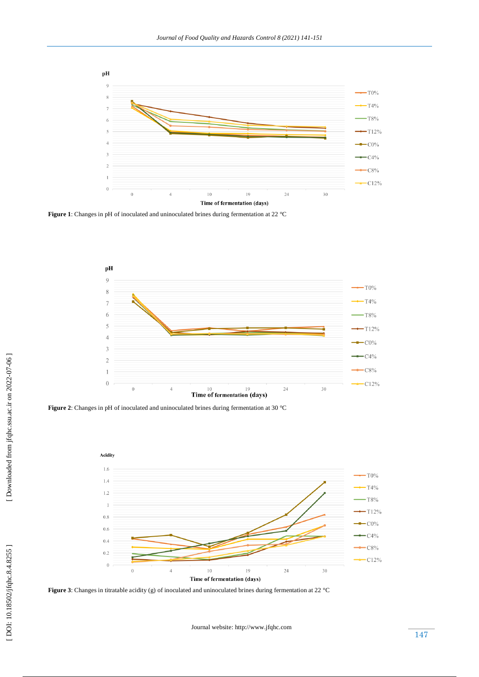

**Figure 1**: Changes in pH of inoculated and uninoculated brines during fermentation at 22 °C



**Figure 2**: Changes in pH of inoculated and uninoculated brines during fermentation at 30 °C



Figure 3: Changes in titratable acidity (g) of inoculated and uninoculated brines during fermentation at 22 °C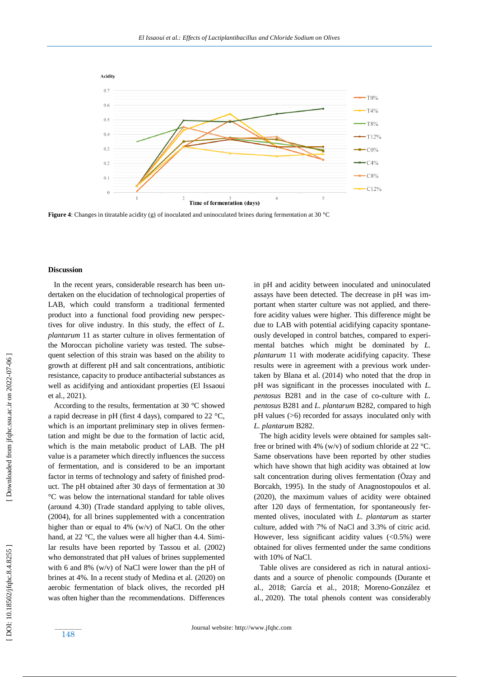

**Figure 4**: Changes in titratable acidity (g) of inoculated and uninoculated brines during fermentation at 30 °C

### **Discussion**

 In the recent years, considerable research has been undertaken on the elucidation of technological properties of LAB, which could transform a traditional fermented product into a functional food providing new perspectives for olive industry. In this study, the effect of *L. plantarum* 11 as starter culture in olives fermentation of the Moroccan picholine variety was tested. The subsequent selection of this strain was based on the ability to growth at different pH and salt concentrations, antibiotic resistance, capacity to produce antibacterial substances as well as acidifying and antioxidant properties (El Issaoui et al., 2021).

 According to the results, fermentation at 30 °C showed a rapid decrease in pH (first 4 days), compared to 22 °C, which is an important preliminary step in olives fermentation and might be due to the formation of lactic acid, which is the main metabolic product of LAB. The pH value is a parameter which directly influences the success of fermentation, and is considered to be an important factor in terms of technology and safety of finished product. The pH obtained after 30 days of fermentation at 30 °C was below the international standard for table olives (around 4.30) (Trade standard applying to table olives, (2004), for all brines supplemented with a concentration higher than or equal to 4% (w/v) of NaCl. On the other hand, at 22 °C, the values were all higher than 4.4. Similar results have been reported by Tassou et al*.* (2002) who demonstrated that pH values of brines supplemented with 6 and 8% (w/v) of NaCl were lower than the pH of brines at 4%. In a recent study of Medina et al *.* (2020) on aerobic fermentation of black olives, the recorded pH was often higher than the recommendations. Differences

in pH and acidity between inoculated and uninoculated assays have been detected. The decrease in pH was important when starter culture was not applied, and therefore acidity values were higher. This difference might be due to LAB with potential acidifying capacity spontaneously developed in control batches, compared to experimental batches which might be dominated by *L. plantarum* 11 with moderate acidifying capacity. These results were in agreement with a previous work undertaken by Blana et al*.* (2014) who noted that the drop in pH was significant in the processes inoculated with *L. pentosus* B281 and in the case of co -culture with *L. pentosus* B281 and *L. plantarum* B282, compared to high pH values (>6) recorded for assays inoculated only with *L. plantarum* B282.

The high acidity levels were obtained for samples saltfree or brined with 4% (w/v) of sodium chloride at 22 °C. Same observations have been reported by other studies which have shown that high acidity was obtained at low salt concentration during olives fermentation (Özay and Borcakh, 1995). In the study of Anagnostopoulos et al *.* (2020), the maximum values of acidity were obtained after 120 days of fermentation, for spontaneously fermented olives, inoculated with *L. plantarum* as starter culture, added with 7% of NaCl and 3.3% of citric acid. However, less significant acidity values  $(<0.5\%)$  were obtained for olives fermented under the same conditions with 10% of NaCl.

 Table olives are considered as rich in natural antioxidants and a source of phenolic compounds (Durante et al*.,* 2018; García et al*.,* 2018; Moreno -González et al*.,* 2020). The total phenols content was considerably

Downloaded from jfqhc.ssu.ac.ir on 2022-07-06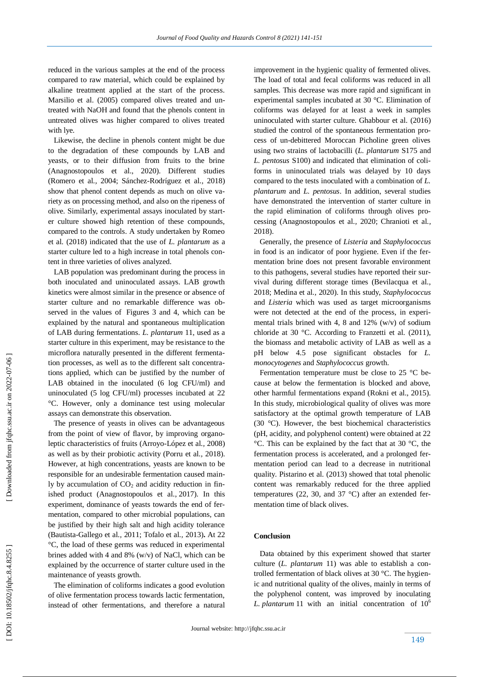reduced in the various samples at the end of the process compared to raw material, which could be explained by alkaline treatment applied at the start of the process. Marsilio et al. (2005) compared olives treated and untreated with NaOH and found that the phenols content in untreated olives was higher compared to olives treated with lye.

 Likewise, the decline in phenols content might be due to the degradation of these compounds by LAB and yeasts, or to their diffusion from fruits to the brine (Anagnostopoulos et al., 2020). Different studies (Romero et al*.,* 2004 ; Sánchez -Rodríguez et al*.,* 2018) show that phenol content depends as much on olive variety as on processing method, and also on the ripeness of olive. Similarly, experimental assays inoculated by start er culture showed high retention of these compounds, compared to the controls. A study undertaken by Romeo et al*.* (2018) indicated that the use of *L. plantarum* as a starter culture led to a high increase in total phenols content in three varieties of olives analyzed.

 LAB population was predominant during the process in both inoculated and uninoculated assays. LAB growth kinetics were almost similar in the presence or absence of starter culture and no remarkable difference was observed in the values of Figures 3 and 4, which can be explained by the natural and spontaneous multiplication of LAB during fermentations. *L. plantarum* 11, used as a starter culture in this experiment, may be resistance to the microflora naturally presented in the different fermentation processes, as well as to the different salt concentrations applied, which can be justified by the number of LAB obtained in the inoculated (6 log CFU/ml) and uninoculated (5 log CFU/ml) processes incubated at 22 °C. However, only a dominance test using molecular assays can demonstrate this observation.

 The presence of yeasts in olives can be advantageous from the point of view of flavor, by improving organoleptic characteristics of fruits (Arroyo-López et al*.,* 2008) as well as by their probiotic activity (Porru et al*.,* 2018). However, at high concentrations, yeasts are known to be responsible for an undesirable fermentation caused mainly by accumulation of  $CO<sub>2</sub>$  and acidity reduction in finished product (Anagnostopoulos et al*.*, 2017). In this experiment, dominance of yeasts towards the end of fermentation, compared to other microbial populations, can be justified by their high salt and high acidity tolerance (Bautista -Gallego et al*.,* 2011 ; Tofalo et al*.,* 2013) **.** At 22 °C, the load of these germs was reduced in experimental brines added with 4 and 8% (w/v) of NaCl, which can be explained by the occurrence of starter culture used in the maintenance of yeasts growth.

 The elimination of coliforms indicates a good evolution of olive fermentation process towards lactic fermentation, instead of other fermentations, and therefore a natural improvement in the hygienic quality of fermented olives. The load of total and fecal coliforms was reduced in all samples. This decrease was more rapid and significant in experimental samples incubated at 30 °C. Elimination of coliforms was delayed for at least a week in samples uninoculated with starter culture. Ghabbour et al *.* (2016) studied the control of the spontaneous fermentation process of un-debittered Moroccan Picholine green olives using two strains of lactobacilli (*L. plantarum* S175 and *L. pentosus* S100) and indicated that elimination of coliforms in uninoculated trials was delayed by 10 days compared to the tests inoculated with a combination of *L. plantarum* and *L. pentosus*. In addition, several studies have demonstrated the intervention of starter culture in the rapid elimination of coliforms through olives processing (Anagnostopoulos et al*.,* 2020; Chranioti et al*.,* 2018) .

 Generally, the presence of *Listeria* and *Staphylococcus* in food is an indicator of poor hygiene. Even if the fermentation brine does not present favorable environment to this pathogens, several studies have reported their survival during different storage times (Bevilacqua et al*.,*  2018; Medina et al*.,* 2020). In this study, *Staphylococcus* and *Listeria* which was used as target microorganisms were not detected at the end of the process, in experimental trials brined with 4, 8 and  $12\%$  (w/v) of sodium chloride at 30 °C. According to Franzetti et al*.* (2011), the biomass and metabolic activity of LAB as well as a pH below 4.5 pose significant obstacles for *L. monocytogenes* and *Staphylococcus* growth.

 Fermentation temperature must be close to 25 °C because at below the fermentation is blocked and above, other harmful fermentations expand (Rokni et al., 2015). In this study, microbiological quality of olives was more satisfactory at the optimal growth temperature of LAB (30 °C). However, the best biochemical characteristics (pH, acidity, and polyphenol content) were obtained at 22 °C. This can be explained by the fact that at 30 °C, the fermentation process is accelerated, and a prolonged fermentation period can lead to a decrease in nutritional quality. Pistarino et al *.* (2013) showed that total phenolic content was remarkably reduced for the three applied temperatures (22, 30, and 37  $^{\circ}$ C) after an extended fermentation time of black olives.

#### **Conclusion**

 Data obtained by this experiment showed that starter culture (*L. plantarum* 11) was able to establish a controlled fermentation of black olives at 30 °C. The hygienic and nutritional quality of the olives, mainly in terms of the polyphenol content, was improved by inoculating *L. plantarum* 11 with an initial concentration of  $10<sup>6</sup>$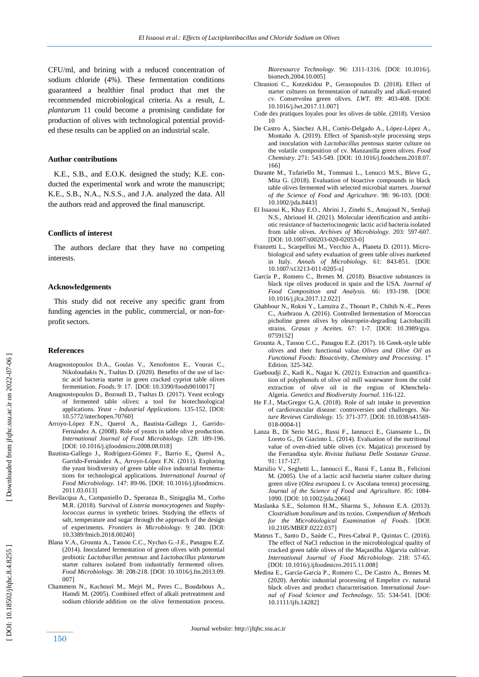CFU/ml, and brining with a reduced concentration of sodium chloride (4%). These fermentation conditions guaranteed a healthier final product that met the recommended microbiological criteria. As a result, *L. plantarum* 11 could become a promising candidate for production of olives with technological potential provided these results can be applied on an industrial scale.

## **Author contributions**

 K.E., S.B., and E.O.K. designed the study; K.E. conducted the experimental work and wrote the manuscript; K.E., S.B., N.A., N.S.S., and J.A. analyzed the data. All the authors read and approved the final manuscript.

#### **Conflicts of interest**

 The authors declare that they have no competing interests.

#### **Acknowledgements**

 This study did not receive any specific grant from funding agencies in the public, commercial, or non-forprofit sectors.

#### **Reference s**

- Anagnostopoulos D.A., Goulas V., Xenofontos E., Vouras C., Nikoloudakis N., Tsaltas D. (2020). Benefits of the use of lactic acid bacteria starter in green cracked cypriot table olives fermentation. *Foods*. 9: 17[. \[DOI: 10.3390/foods9010017](https://doi.org/10.3390/foods9010017) ]
- Anagnostopoulos D., Bozoudi D., Tsaltas D. (2017). Yeast ecology of fermented table olives: a tool for biotechnological applications. *Yeast - Industrial Applications.* 135 -152. [DOI: 10.5772/intechopen.70760]
- Arroyo -López F.N., Querol A., Bautista -Gallego J., Garrido Fernández A. (2008). Role of yeasts in table olive production. *International Journal of Food Microbiology.* 128: 189 -196. [\[DOI: 10.1016/j.ijfoodmicro.2008.08.018](https://doi.org/10.1016/j.ijfoodmicro.2008.08.018) ]
- Bautista -Gallego J., Rodríguez -Gómez F., Barrio E., Querol A., Garrido -Fernández A., Arroyo -López F.N. (2011). Exploring the yeast biodiversity of green table olive industrial fermentations for technological applications. *International Journal of Food Microbiology.* 147: 89 -96. [DOI: [10.1016/j.ijfoodmicro.](https://doi.org/10.1016/j.ijfoodmicro.2011.03.013) [2011.03.013](https://doi.org/10.1016/j.ijfoodmicro.2011.03.013) ]
- Bevilacqua A., Campaniello D., Speranza B., Sinigaglia M., Corbo M.R. (2018). Survival of *Listeria monocytogenes* and *Staphylococcus aureus* in synthetic brines. Studying the effects of salt, temperature and sugar through the approach of the design of experiments. *Frontiers in Microbiology.* 9: 240. [DOI: [10.3389/fmicb.2018.00240](https://doi.org/10.3389/fmicb.2018.00240) ]
- Blana V.A., Grounta A., Tassou C.C., Nychas G. -J.E., Panagou E.Z. (2014). Inoculated fermentation of green olives with potential probiotic *Lactobacillus pentosus* and *Lactobacillus plantarum* starter cultures isolated from industrially fermented olives. *Food Microbiology.* 38: 208 -218[. \[DOI: 10.1016/j.fm.2013.09.](https://doi.org/10.1016/j.fm.2013.09.007) [007](https://doi.org/10.1016/j.fm.2013.09.007) ]
- Chammem N., Kachouri M., Mejri M., Peres C., Boudabous A., Hamdi M. (2005). Combined effect of alkali pretreatment and sodium chloride addition on the olive fermentation process.

*Bioresource Technology.* 96: 1311 -1316. [\[DOI: 10.1016/j.](https://doi.org/10.1016/j.biortech.2004.10.005) [biortech.2004.10.005](https://doi.org/10.1016/j.biortech.2004.10.005) ]

- Chranioti C., Kotzekidou P., Gerasopoulos D. (2018). Effect of starter cultures on fermentation of naturally and alkali -treated *cv*. Conservolea green olives. *LWT*. 89: 403 -408. [\[DOI:](https://doi.org/10.1016/j.lwt.2017.11.007)  [10.1016/j.lwt.2017.11.007](https://doi.org/10.1016/j.lwt.2017.11.007) ]
- Code des pratiques loyales pour les olives de table. (2018). Version 10
- De Castro A., Sánchez A.H., Cortés -Delgado A., López -López A., Montaño A. (2019). Effect of Spanish -style processing steps and inoculation with *Lactobacillus pentosus* starter culture on the volatile composition of cv. Manzanilla green olives. *Food Chemistry* . 271: 543 -549. [\[DOI: 10.1016/j.foodchem.2018.07.](https://doi.org/10.1016/j.foodchem.2018.07.166) [166](https://doi.org/10.1016/j.foodchem.2018.07.166) ]
- Durante M., Tufariello M., Tommasi L., Lenucci M.S., Bleve G., Mita G. (2018). Evaluation of bioactive compounds in black table olives fermented with selected microbial starters. *Journal of the Science of Food and Agriculture*. 98: 96 -103. [\[DOI:](https://doi.org/10.1002/jsfa.8443)  [10.1002/jsfa.8443](https://doi.org/10.1002/jsfa.8443) ]
- El Issaoui K., Khay E.O., Abrini J., Zinebi S., Amajoud N., Senhaji N.S., Abriouel H. (2021). Molecular identification and antibiotic resistance of bacteriocinogenic lactic acid bacteria isolated from table olives. *Archives of Microbiology.* 203: 597 -607. [DOI[: 10.1007/s00203](https://doi.org/10.1007/s00203-020-02053-0)-020-02053-0]
- Franzetti L., Scarpellini M., Vecchio A., Planeta D. (2011). Microbiological and safety evaluation of green table olives marketed in Italy. *Annals of Microbiology.* 61: 843 -851. [\[DOI:](https://doi.org/10.1007/s13213-011-0205-x)  [10.1007/s13213](https://doi.org/10.1007/s13213-011-0205-x) -011 -0205 - x ]
- García P., Romero C., Brenes M. (2018). Bioactive substances in black ripe olives produced in spain and the USA. *Journal of Food Composition and Analysis.* 66: 193 -198. [DOI: [10.1016/j.jfca.2017.12.022](https://doi.org/10.1016/j.jfca.2017.12.022) ]
- Ghabbour N., Rokni Y., Lamzira Z., Thonart P., Chihib N. -E., Peres C., Asehraou A. (2016). Controlled fermentation of Moroccan picholine green olives by oleuropein -degrading Lactobacilli strains. *Grasas y Aceites*. 67: 1 -7. [DOI: 10.3989/gya. 0759152]
- Grounta A., Tassou C.C., Panagou E.Z. (2017). 16 Greek -style table olives and their functional value. *Olives and Olive Oil as Functional Foods: Bioactivity, Chemistry and Processing*. 1st Edition. 325 -342.
- Gueboudji Z., Kadi K., Nagaz K. (2021). Extraction and quantification of polyphenols of olive oil mill wastewater from the cold extraction of olive oil in the region of Khenchela - Algeria. *Genetics and Biodiversity Journal*. 116 -122.
- He F.J., MacGregor G.A. (2018). Role of salt intake in prevention of cardiovascular disease: controversies and challenges. *Nature Reviews Cardiology.* 15: 371-377[. \[DOI: 10.1038/s41569-](https://doi.org/10.1038/s41569-018-0004-1) 018[-0004](https://doi.org/10.1038/s41569-018-0004-1)-1]
- Lanza B., Di Serio M.G., Russi F., Iannucci E., Giansante L., Di Loreto G., Di Giacinto L. (2014). Evaluation of the nutritional value of oven -dried table olives (cv. Majatica) processed by the Ferrandina style. *Rivista Italiana Delle Sostanze Grasse*. 91: 117 -127.
- Marsilio V., Seghetti L., Iannucci E., Russi F., Lanza B., Felicioni M. (2005). Use of a lactic acid bacteria starter culture during green olive (*Olea europaea* L cv Ascolana tenera) processing. *Journal of the Science of Food and Agriculture.* 85: 1084 - 1090[. \[DOI: 10.1002/jsfa.2066](https://doi.org/10.1002/jsfa.2066) ]
- Maslanka S.E., Solomon H.M., Sharma S., Johnson E.A. (2013). *Clostridium botulinum* and its toxins. *Compendium of Methods for the Microbiological Examination of Foods*. [DOI: [10.2105/MBEF.0222.037](http://dx.doi.org/10.2105/MBEF.0222.037) ]
- Mateus T., Santo D., Saúde C., Pires -Cabral P., Quintas C. (2016). The effect of NaCl reduction in the microbiological quality of cracked green table olives of the Maçanilha Algarvia cultivar. *International Journal of Food Microbiology.* 218: 57 -65. [\[DOI: 10.1016/j.ijfoodmicro.2015.11.008](https://doi.org/10.1016/j.ijfoodmicro.2015.11.008)]
- Medina E., García ‐García P., Romero C., De Castro A., Brenes M. (2020). Aerobic industrial processing of Empeltre cv. natural black olives and product characterisation. International *Journal of Food Science and Technology.* 55: 534-541. [DOI: 10.1111/ijfs.14282]